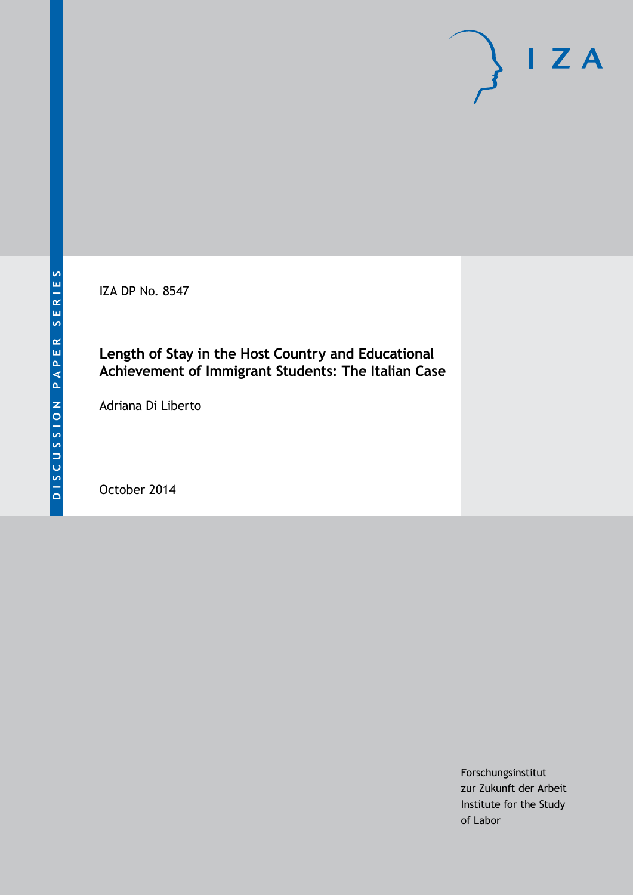IZA DP No. 8547

## **Length of Stay in the Host Country and Educational Achievement of Immigrant Students: The Italian Case**

Adriana Di Liberto

October 2014

Forschungsinstitut zur Zukunft der Arbeit Institute for the Study of Labor

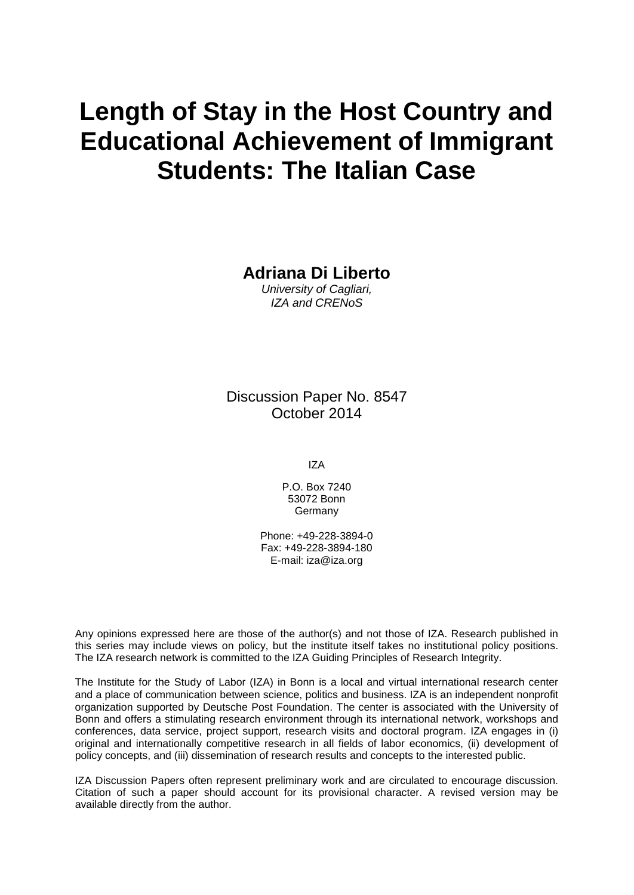# **Length of Stay in the Host Country and Educational Achievement of Immigrant Students: The Italian Case**

**Adriana Di Liberto**

*University of Cagliari, IZA and CRENoS*

Discussion Paper No. 8547 October 2014

IZA

P.O. Box 7240 53072 Bonn Germany

Phone: +49-228-3894-0 Fax: +49-228-3894-180 E-mail: [iza@iza.org](mailto:iza@iza.org)

Any opinions expressed here are those of the author(s) and not those of IZA. Research published in this series may include views on policy, but the institute itself takes no institutional policy positions. The IZA research network is committed to the IZA Guiding Principles of Research Integrity.

The Institute for the Study of Labor (IZA) in Bonn is a local and virtual international research center and a place of communication between science, politics and business. IZA is an independent nonprofit organization supported by Deutsche Post Foundation. The center is associated with the University of Bonn and offers a stimulating research environment through its international network, workshops and conferences, data service, project support, research visits and doctoral program. IZA engages in (i) original and internationally competitive research in all fields of labor economics, (ii) development of policy concepts, and (iii) dissemination of research results and concepts to the interested public.

<span id="page-1-0"></span>IZA Discussion Papers often represent preliminary work and are circulated to encourage discussion. Citation of such a paper should account for its provisional character. A revised version may be available directly from the author.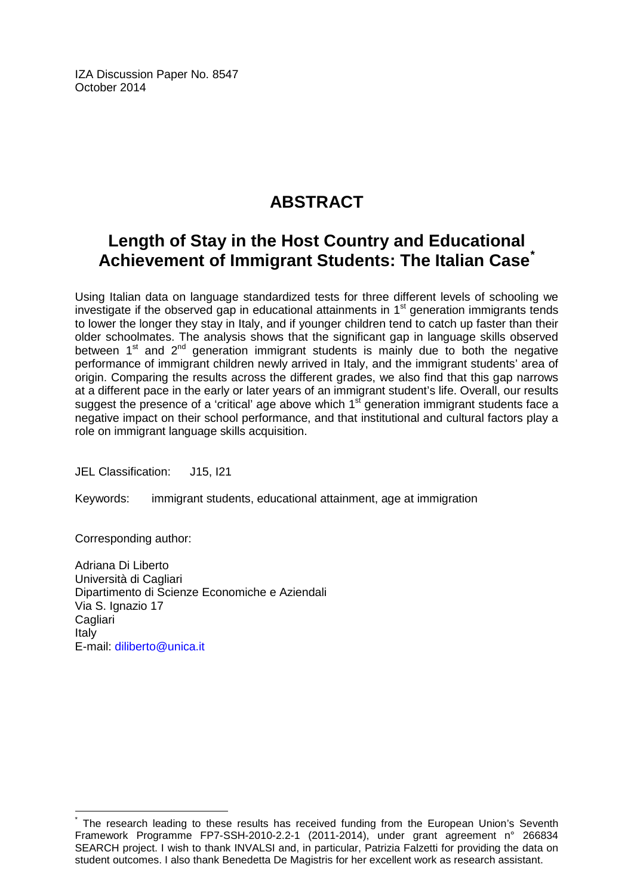IZA Discussion Paper No. 8547 October 2014

# **ABSTRACT**

# **Length of Stay in the Host Country and Educational Achievement of Immigrant Students: The Italian Case[\\*](#page-1-0)**

Using Italian data on language standardized tests for three different levels of schooling we investigate if the observed gap in educational attainments in  $1<sup>st</sup>$  generation immigrants tends to lower the longer they stay in Italy, and if younger children tend to catch up faster than their older schoolmates. The analysis shows that the significant gap in language skills observed between  $1<sup>st</sup>$  and  $2<sup>nd</sup>$  generation immigrant students is mainly due to both the negative performance of immigrant children newly arrived in Italy, and the immigrant students' area of origin. Comparing the results across the different grades, we also find that this gap narrows at a different pace in the early or later years of an immigrant student's life. Overall, our results suggest the presence of a 'critical' age above which  $1<sup>st</sup>$  generation immigrant students face a negative impact on their school performance, and that institutional and cultural factors play a role on immigrant language skills acquisition.

JEL Classification: J15, I21

Keywords: immigrant students, educational attainment, age at immigration

Corresponding author:

Adriana Di Liberto Università di Cagliari Dipartimento di Scienze Economiche e Aziendali Via S. Ignazio 17 **Cagliari** Italy E-mail: [diliberto@unica.it](mailto:diliberto@unica.it)

The research leading to these results has received funding from the European Union's Seventh Framework Programme FP7-SSH-2010-2.2-1 (2011-2014), under grant agreement n° 266834 SEARCH project. I wish to thank INVALSI and, in particular, Patrizia Falzetti for providing the data on student outcomes. I also thank Benedetta De Magistris for her excellent work as research assistant.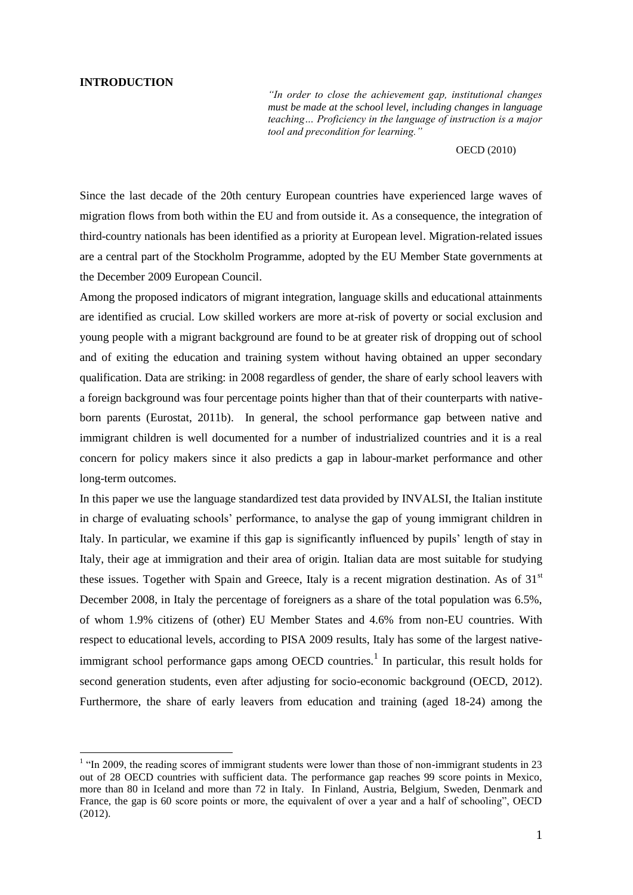#### **INTRODUCTION**

<u>.</u>

*"In order to close the achievement gap, institutional changes must be made at the school level, including changes in language teaching… Proficiency in the language of instruction is a major tool and precondition for learning."*

OECD (2010)

Since the last decade of the 20th century European countries have experienced large waves of migration flows from both within the EU and from outside it. As a consequence, the integration of third-country nationals has been identified as a priority at European level. Migration-related issues are a central part of the Stockholm Programme, adopted by the EU Member State governments at the December 2009 European Council.

Among the proposed indicators of migrant integration, language skills and educational attainments are identified as crucial. Low skilled workers are more at-risk of poverty or social exclusion and young people with a migrant background are found to be at greater risk of dropping out of school and of exiting the education and training system without having obtained an upper secondary qualification. Data are striking: in 2008 regardless of gender, the share of early school leavers with a foreign background was four percentage points higher than that of their counterparts with nativeborn parents (Eurostat, 2011b). In general, the school performance gap between native and immigrant children is well documented for a number of industrialized countries and it is a real concern for policy makers since it also predicts a gap in labour-market performance and other long-term outcomes.

In this paper we use the language standardized test data provided by INVALSI, the Italian institute in charge of evaluating schools' performance, to analyse the gap of young immigrant children in Italy. In particular, we examine if this gap is significantly influenced by pupils' length of stay in Italy, their age at immigration and their area of origin. Italian data are most suitable for studying these issues. Together with Spain and Greece, Italy is a recent migration destination. As of 31<sup>st</sup> December 2008, in Italy the percentage of foreigners as a share of the total population was 6.5%, of whom 1.9% citizens of (other) EU Member States and 4.6% from non-EU countries. With respect to educational levels, according to PISA 2009 results, Italy has some of the largest nativeimmigrant school performance gaps among OECD countries.<sup>1</sup> In particular, this result holds for second generation students, even after adjusting for socio-economic background (OECD, 2012). Furthermore, the share of early leavers from education and training (aged 18-24) among the

<sup>&</sup>lt;sup>1</sup> "In 2009, the reading scores of immigrant students were lower than those of non-immigrant students in 23 out of 28 OECD countries with sufficient data. The performance gap reaches 99 score points in Mexico, more than 80 in Iceland and more than 72 in Italy. In Finland, Austria, Belgium, Sweden, Denmark and France, the gap is 60 score points or more, the equivalent of over a year and a half of schooling", OECD (2012).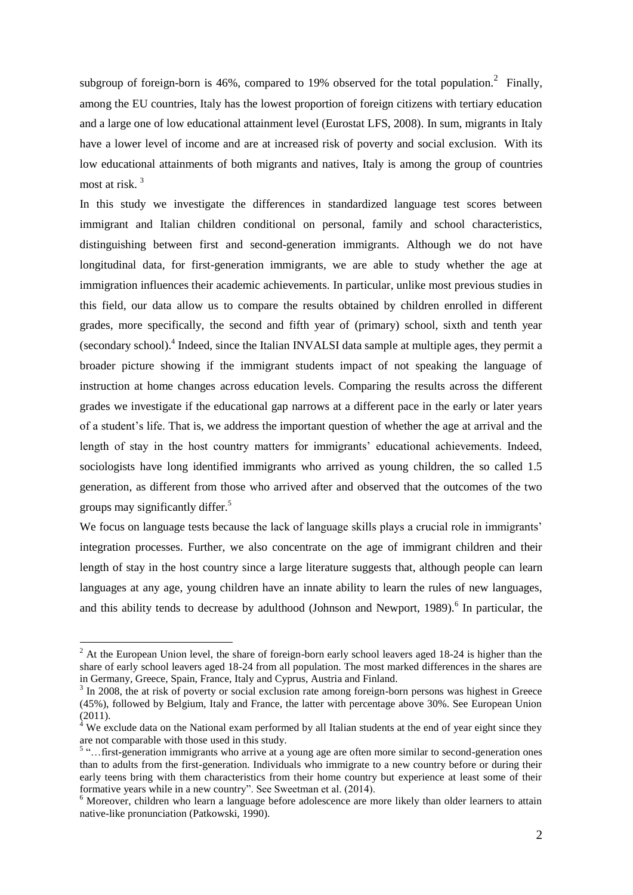subgroup of foreign-born is 46%, compared to 19% observed for the total population.<sup>2</sup> Finally, among the EU countries, Italy has the lowest proportion of foreign citizens with tertiary education and a large one of low educational attainment level (Eurostat LFS, 2008). In sum, migrants in Italy have a lower level of income and are at increased risk of poverty and social exclusion. With its low educational attainments of both migrants and natives, Italy is among the group of countries most at risk. <sup>3</sup>

In this study we investigate the differences in standardized language test scores between immigrant and Italian children conditional on personal, family and school characteristics, distinguishing between first and second-generation immigrants. Although we do not have longitudinal data, for first-generation immigrants, we are able to study whether the age at immigration influences their academic achievements. In particular, unlike most previous studies in this field, our data allow us to compare the results obtained by children enrolled in different grades, more specifically, the second and fifth year of (primary) school, sixth and tenth year (secondary school).<sup>4</sup> Indeed, since the Italian INVALSI data sample at multiple ages, they permit a broader picture showing if the immigrant students impact of not speaking the language of instruction at home changes across education levels. Comparing the results across the different grades we investigate if the educational gap narrows at a different pace in the early or later years of a student's life. That is, we address the important question of whether the age at arrival and the length of stay in the host country matters for immigrants' educational achievements. Indeed, sociologists have long identified immigrants who arrived as young children, the so called 1.5 generation, as different from those who arrived after and observed that the outcomes of the two groups may significantly differ.<sup>5</sup>

We focus on language tests because the lack of language skills plays a crucial role in immigrants' integration processes. Further, we also concentrate on the age of immigrant children and their length of stay in the host country since a large literature suggests that, although people can learn languages at any age, young children have an innate ability to learn the rules of new languages, and this ability tends to decrease by adulthood (Johnson and Newport, 1989).<sup>6</sup> In particular, the

 $2$  At the European Union level, the share of foreign-born early school leavers aged 18-24 is higher than the share of early school leavers aged 18-24 from all population. The most marked differences in the shares are in Germany, Greece, Spain, France, Italy and Cyprus, Austria and Finland.

<sup>&</sup>lt;sup>3</sup> In 2008, the at risk of poverty or social exclusion rate among foreign-born persons was highest in Greece (45%), followed by Belgium, Italy and France, the latter with percentage above 30%. See European Union (2011).

 $4 \text{ We exclude data on the National exam performed by all Italian students at the end of year eight since they.}$ are not comparable with those used in this study.

<sup>&</sup>lt;sup>5</sup> "...first-generation immigrants who arrive at a young age are often more similar to second-generation ones than to adults from the first-generation. Individuals who immigrate to a new country before or during their early teens bring with them characteristics from their home country but experience at least some of their formative years while in a new country". See Sweetman et al. (2014).

<sup>&</sup>lt;sup>6</sup> Moreover, children who learn a language before adolescence are more likely than older learners to attain native-like pronunciation (Patkowski, 1990).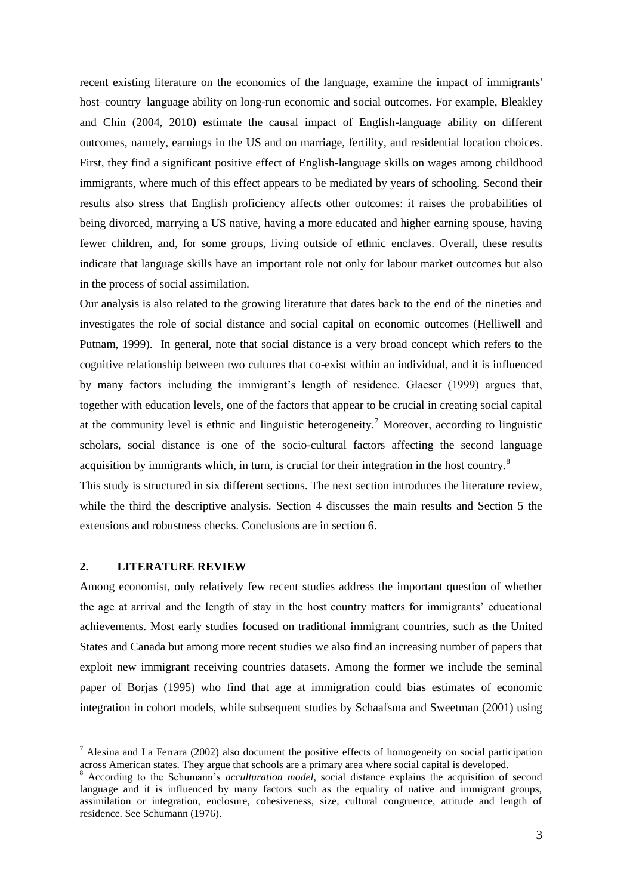recent existing literature on the economics of the language, examine the impact of immigrants' host–country–language ability on long-run economic and social outcomes. For example, Bleakley and Chin (2004, 2010) estimate the causal impact of English-language ability on different outcomes, namely, earnings in the US and on marriage, fertility, and residential location choices. First, they find a significant positive effect of English-language skills on wages among childhood immigrants, where much of this effect appears to be mediated by years of schooling. Second their results also stress that English proficiency affects other outcomes: it raises the probabilities of being divorced, marrying a US native, having a more educated and higher earning spouse, having fewer children, and, for some groups, living outside of ethnic enclaves. Overall, these results indicate that language skills have an important role not only for labour market outcomes but also in the process of social assimilation.

Our analysis is also related to the growing literature that dates back to the end of the nineties and investigates the role of social distance and social capital on economic outcomes (Helliwell and Putnam, 1999). In general, note that social distance is a very broad concept which refers to the cognitive relationship between two cultures that co-exist within an individual, and it is influenced by many factors including the immigrant's length of residence. Glaeser (1999) argues that, together with education levels, one of the factors that appear to be crucial in creating social capital at the community level is ethnic and linguistic heterogeneity.<sup>7</sup> Moreover, according to linguistic scholars, social distance is one of the socio-cultural factors affecting the second language acquisition by immigrants which, in turn, is crucial for their integration in the host country.<sup>8</sup>

This study is structured in six different sections. The next section introduces the literature review, while the third the descriptive analysis. Section 4 discusses the main results and Section 5 the extensions and robustness checks. Conclusions are in section 6.

#### **2. LITERATURE REVIEW**

<u>.</u>

Among economist, only relatively few recent studies address the important question of whether the age at arrival and the length of stay in the host country matters for immigrants' educational achievements. Most early studies focused on traditional immigrant countries, such as the United States and Canada but among more recent studies we also find an increasing number of papers that exploit new immigrant receiving countries datasets. Among the former we include the seminal paper of Borjas (1995) who find that age at immigration could bias estimates of economic integration in cohort models, while subsequent studies by Schaafsma and Sweetman (2001) using

 $^7$  Alesina and La Ferrara (2002) also document the positive effects of homogeneity on social participation across American states. They argue that schools are a primary area where social capital is developed.

<sup>8</sup> According to the Schumann's *acculturation model*, social distance explains the acquisition of second language and it is influenced by many factors such as the equality of native and immigrant groups, assimilation or integration, enclosure, cohesiveness, size, cultural congruence, attitude and length of residence. See Schumann (1976).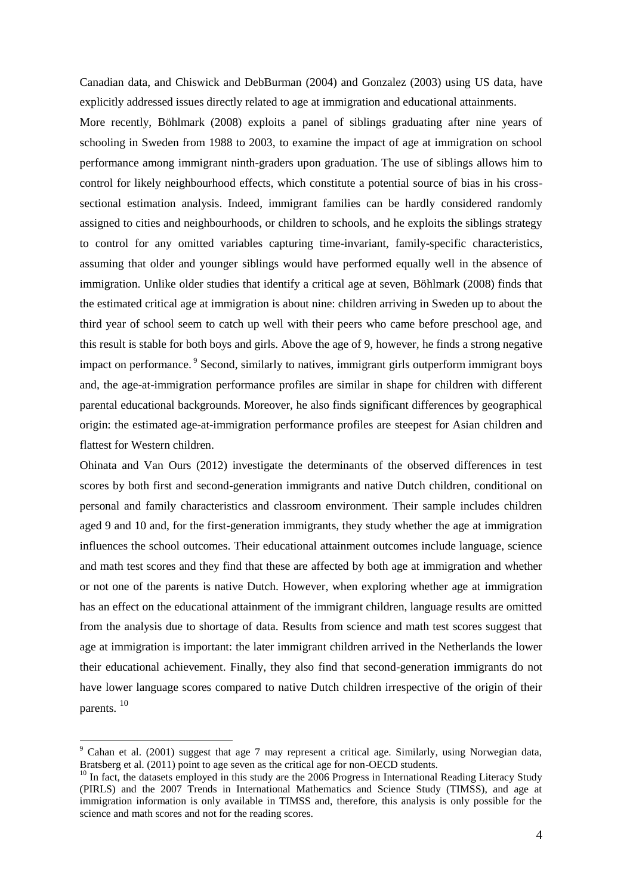Canadian data, and Chiswick and DebBurman (2004) and Gonzalez (2003) using US data, have explicitly addressed issues directly related to age at immigration and educational attainments.

More recently, Böhlmark (2008) exploits a panel of siblings graduating after nine years of schooling in Sweden from 1988 to 2003, to examine the impact of age at immigration on school performance among immigrant ninth-graders upon graduation. The use of siblings allows him to control for likely neighbourhood effects, which constitute a potential source of bias in his crosssectional estimation analysis. Indeed, immigrant families can be hardly considered randomly assigned to cities and neighbourhoods, or children to schools, and he exploits the siblings strategy to control for any omitted variables capturing time-invariant, family-specific characteristics, assuming that older and younger siblings would have performed equally well in the absence of immigration. Unlike older studies that identify a critical age at seven, Böhlmark (2008) finds that the estimated critical age at immigration is about nine: children arriving in Sweden up to about the third year of school seem to catch up well with their peers who came before preschool age, and this result is stable for both boys and girls. Above the age of 9, however, he finds a strong negative impact on performance.<sup>9</sup> Second, similarly to natives, immigrant girls outperform immigrant boys and, the age-at-immigration performance profiles are similar in shape for children with different parental educational backgrounds. Moreover, he also finds significant differences by geographical origin: the estimated age-at-immigration performance profiles are steepest for Asian children and flattest for Western children.

Ohinata and Van Ours (2012) investigate the determinants of the observed differences in test scores by both first and second-generation immigrants and native Dutch children, conditional on personal and family characteristics and classroom environment. Their sample includes children aged 9 and 10 and, for the first-generation immigrants, they study whether the age at immigration influences the school outcomes. Their educational attainment outcomes include language, science and math test scores and they find that these are affected by both age at immigration and whether or not one of the parents is native Dutch. However, when exploring whether age at immigration has an effect on the educational attainment of the immigrant children, language results are omitted from the analysis due to shortage of data. Results from science and math test scores suggest that age at immigration is important: the later immigrant children arrived in the Netherlands the lower their educational achievement. Finally, they also find that second-generation immigrants do not have lower language scores compared to native Dutch children irrespective of the origin of their parents.<sup>10</sup>

<sup>9</sup> Cahan et al. (2001) suggest that age 7 may represent a critical age. Similarly, using Norwegian data, Bratsberg et al. (2011) point to age seven as the critical age for non-OECD students.

<sup>&</sup>lt;sup>10</sup> In fact, the datasets employed in this study are the 2006 Progress in International Reading Literacy Study (PIRLS) and the 2007 Trends in International Mathematics and Science Study (TIMSS), and age at immigration information is only available in TIMSS and, therefore, this analysis is only possible for the science and math scores and not for the reading scores.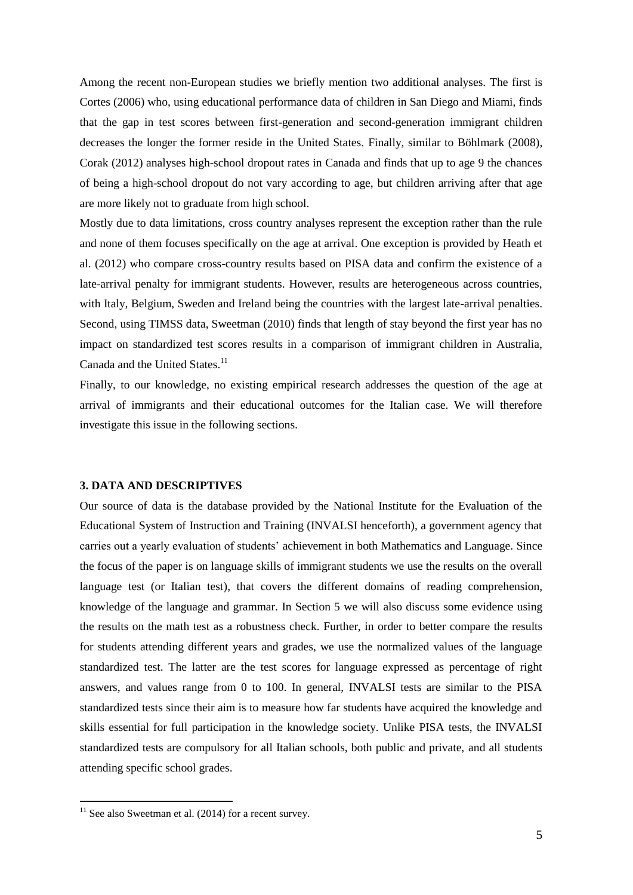Among the recent non-European studies we briefly mention two additional analyses. The first is Cortes (2006) who, using educational performance data of children in San Diego and Miami, finds that the gap in test scores between first-generation and second-generation immigrant children decreases the longer the former reside in the United States. Finally, similar to Böhlmark (2008), Corak (2012) analyses high-school dropout rates in Canada and finds that up to age 9 the chances of being a high-school dropout do not vary according to age, but children arriving after that age are more likely not to graduate from high school.

Mostly due to data limitations, cross country analyses represent the exception rather than the rule and none of them focuses specifically on the age at arrival. One exception is provided by Heath et al. (2012) who compare cross-country results based on PISA data and confirm the existence of a late-arrival penalty for immigrant students. However, results are heterogeneous across countries, with Italy, Belgium, Sweden and Ireland being the countries with the largest late-arrival penalties. Second, using TIMSS data, Sweetman (2010) finds that length of stay beyond the first year has no impact on standardized test scores results in a comparison of immigrant children in Australia, Canada and the United States.<sup>11</sup>

Finally, to our knowledge, no existing empirical research addresses the question of the age at arrival of immigrants and their educational outcomes for the Italian case. We will therefore investigate this issue in the following sections.

#### **3. DATA AND DESCRIPTIVES**

Our source of data is the database provided by the National Institute for the Evaluation of the Educational System of Instruction and Training (INVALSI henceforth), a government agency that carries out a yearly evaluation of students' achievement in both Mathematics and Language. Since the focus of the paper is on language skills of immigrant students we use the results on the overall language test (or Italian test), that covers the different domains of reading comprehension, knowledge of the language and grammar. In Section 5 we will also discuss some evidence using the results on the math test as a robustness check. Further, in order to better compare the results for students attending different years and grades, we use the normalized values of the language standardized test. The latter are the test scores for language expressed as percentage of right answers, and values range from 0 to 100. In general, INVALSI tests are similar to the PISA standardized tests since their aim is to measure how far students have acquired the knowledge and skills essential for full participation in the knowledge society. Unlike PISA tests, the INVALSI standardized tests are compulsory for all Italian schools, both public and private, and all students attending specific school grades.

 $11$  See also Sweetman et al. (2014) for a recent survey.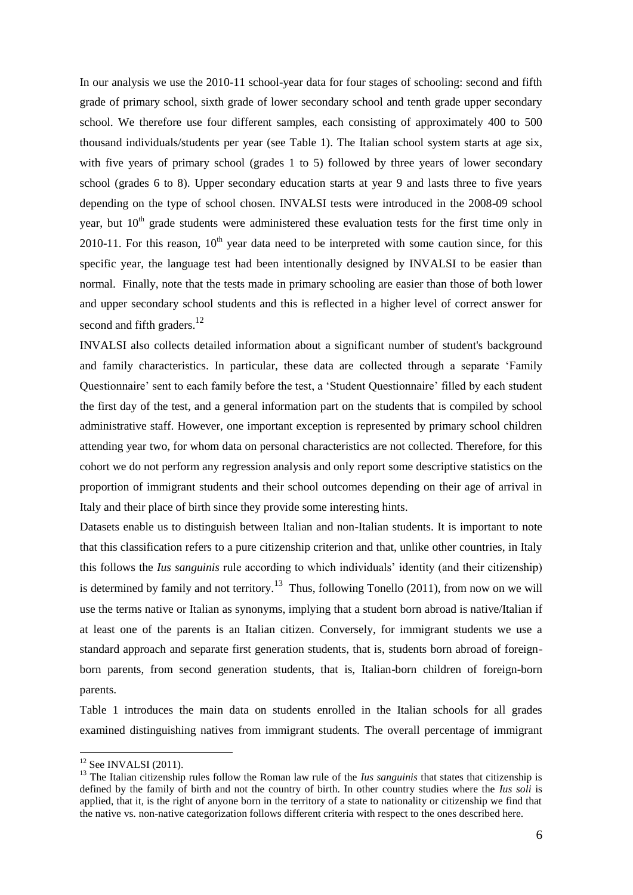In our analysis we use the 2010-11 school-year data for four stages of schooling: second and fifth grade of primary school, sixth grade of lower secondary school and tenth grade upper secondary school. We therefore use four different samples, each consisting of approximately 400 to 500 thousand individuals/students per year (see Table 1). The Italian school system starts at age six, with five years of primary school (grades 1 to 5) followed by three years of lower secondary school (grades 6 to 8). Upper secondary education starts at year 9 and lasts three to five years depending on the type of school chosen. INVALSI tests were introduced in the 2008-09 school year, but  $10<sup>th</sup>$  grade students were administered these evaluation tests for the first time only in 2010-11. For this reason,  $10<sup>th</sup>$  year data need to be interpreted with some caution since, for this specific year, the language test had been intentionally designed by INVALSI to be easier than normal. Finally, note that the tests made in primary schooling are easier than those of both lower and upper secondary school students and this is reflected in a higher level of correct answer for second and fifth graders.<sup>12</sup>

INVALSI also collects detailed information about a significant number of student's background and family characteristics. In particular, these data are collected through a separate 'Family Questionnaire' sent to each family before the test, a 'Student Questionnaire' filled by each student the first day of the test, and a general information part on the students that is compiled by school administrative staff. However, one important exception is represented by primary school children attending year two, for whom data on personal characteristics are not collected. Therefore, for this cohort we do not perform any regression analysis and only report some descriptive statistics on the proportion of immigrant students and their school outcomes depending on their age of arrival in Italy and their place of birth since they provide some interesting hints.

Datasets enable us to distinguish between Italian and non-Italian students. It is important to note that this classification refers to a pure citizenship criterion and that, unlike other countries, in Italy this follows the *Ius sanguinis* rule according to which individuals' identity (and their citizenship) is determined by family and not territory.<sup>13</sup> Thus, following Tonello (2011), from now on we will use the terms native or Italian as synonyms, implying that a student born abroad is native/Italian if at least one of the parents is an Italian citizen. Conversely, for immigrant students we use a standard approach and separate first generation students, that is, students born abroad of foreignborn parents, from second generation students, that is, Italian-born children of foreign-born parents.

Table 1 introduces the main data on students enrolled in the Italian schools for all grades examined distinguishing natives from immigrant students. The overall percentage of immigrant

 $12$  See INVALSI (2011).

<sup>&</sup>lt;sup>13</sup> The Italian citizenship rules follow the Roman law rule of the *Ius sanguinis* that states that citizenship is defined by the family of birth and not the country of birth. In other country studies where the *Ius soli* is applied, that it, is the right of anyone born in the territory of a state to nationality or citizenship we find that the native vs. non-native categorization follows different criteria with respect to the ones described here.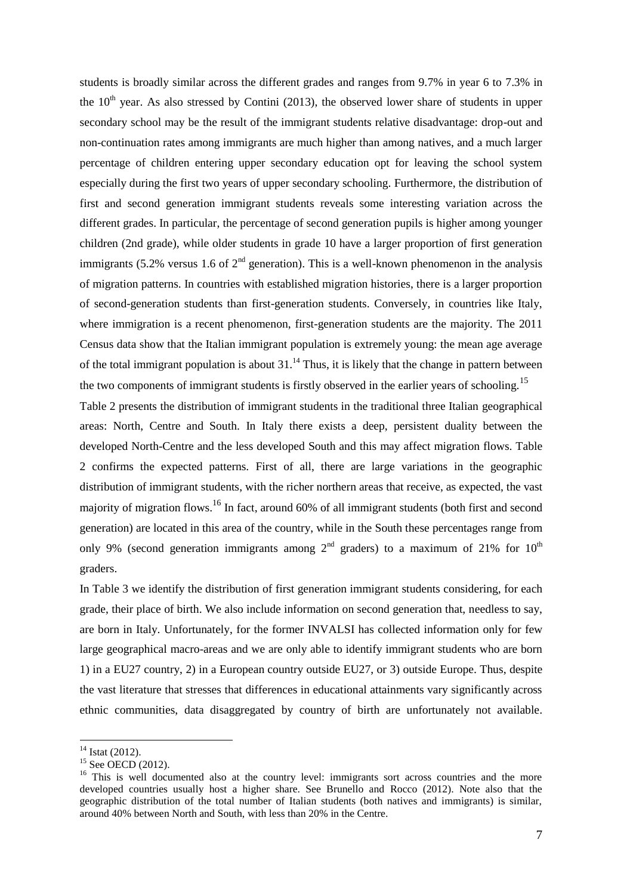students is broadly similar across the different grades and ranges from 9.7% in year 6 to 7.3% in the  $10<sup>th</sup>$  year. As also stressed by Contini (2013), the observed lower share of students in upper secondary school may be the result of the immigrant students relative disadvantage: drop-out and non-continuation rates among immigrants are much higher than among natives, and a much larger percentage of children entering upper secondary education opt for leaving the school system especially during the first two years of upper secondary schooling. Furthermore, the distribution of first and second generation immigrant students reveals some interesting variation across the different grades. In particular, the percentage of second generation pupils is higher among younger children (2nd grade), while older students in grade 10 have a larger proportion of first generation immigrants (5.2% versus 1.6 of  $2<sup>nd</sup>$  generation). This is a well-known phenomenon in the analysis of migration patterns. In countries with established migration histories, there is a larger proportion of second-generation students than first-generation students. Conversely, in countries like Italy, where immigration is a recent phenomenon, first-generation students are the majority. The 2011 Census data show that the Italian immigrant population is extremely young: the mean age average of the total immigrant population is about  $31<sup>14</sup>$  Thus, it is likely that the change in pattern between the two components of immigrant students is firstly observed in the earlier years of schooling.<sup>15</sup>

Table 2 presents the distribution of immigrant students in the traditional three Italian geographical areas: North, Centre and South. In Italy there exists a deep, persistent duality between the developed North-Centre and the less developed South and this may affect migration flows. Table 2 confirms the expected patterns. First of all, there are large variations in the geographic distribution of immigrant students, with the richer northern areas that receive, as expected, the vast majority of migration flows.<sup>16</sup> In fact, around 60% of all immigrant students (both first and second generation) are located in this area of the country, while in the South these percentages range from only 9% (second generation immigrants among  $2<sup>nd</sup>$  graders) to a maximum of 21% for 10<sup>th</sup> graders.

In Table 3 we identify the distribution of first generation immigrant students considering, for each grade, their place of birth. We also include information on second generation that, needless to say, are born in Italy. Unfortunately, for the former INVALSI has collected information only for few large geographical macro-areas and we are only able to identify immigrant students who are born 1) in a EU27 country, 2) in a European country outside EU27, or 3) outside Europe. Thus, despite the vast literature that stresses that differences in educational attainments vary significantly across ethnic communities, data disaggregated by country of birth are unfortunately not available.

 $14$  Istat (2012).

 $^{15}$  See OECD (2012).

<sup>&</sup>lt;sup>16</sup> This is well documented also at the country level: immigrants sort across countries and the more developed countries usually host a higher share. See Brunello and Rocco (2012). Note also that the geographic distribution of the total number of Italian students (both natives and immigrants) is similar, around 40% between North and South, with less than 20% in the Centre.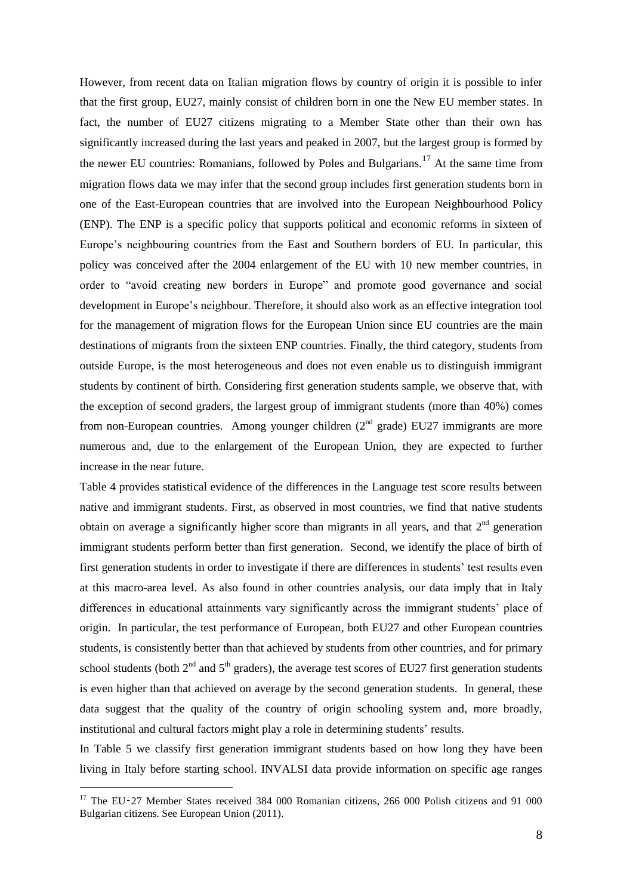However, from recent data on Italian migration flows by country of origin it is possible to infer that the first group, EU27, mainly consist of children born in one the New EU member states. In fact, the number of EU27 citizens migrating to a Member State other than their own has significantly increased during the last years and peaked in 2007, but the largest group is formed by the newer EU countries: Romanians, followed by Poles and Bulgarians.<sup>17</sup> At the same time from migration flows data we may infer that the second group includes first generation students born in one of the East-European countries that are involved into the European Neighbourhood Policy (ENP). The ENP is a specific policy that supports political and economic reforms in sixteen of Europe's neighbouring countries from the East and Southern borders of EU. In particular, this policy was conceived after the 2004 enlargement of the EU with 10 new member countries, in order to "avoid creating new borders in Europe" and promote good governance and social development in Europe's neighbour. Therefore, it should also work as an effective integration tool for the management of migration flows for the European Union since EU countries are the main destinations of migrants from the sixteen ENP countries. Finally, the third category, students from outside Europe, is the most heterogeneous and does not even enable us to distinguish immigrant students by continent of birth. Considering first generation students sample, we observe that, with the exception of second graders, the largest group of immigrant students (more than 40%) comes from non-European countries. Among younger children  $(2<sup>nd</sup>$  grade) EU27 immigrants are more numerous and, due to the enlargement of the European Union, they are expected to further increase in the near future.

Table 4 provides statistical evidence of the differences in the Language test score results between native and immigrant students. First, as observed in most countries, we find that native students obtain on average a significantly higher score than migrants in all years, and that  $2<sup>nd</sup>$  generation immigrant students perform better than first generation. Second, we identify the place of birth of first generation students in order to investigate if there are differences in students' test results even at this macro-area level. As also found in other countries analysis, our data imply that in Italy differences in educational attainments vary significantly across the immigrant students' place of origin. In particular, the test performance of European, both EU27 and other European countries students, is consistently better than that achieved by students from other countries, and for primary school students (both  $2<sup>nd</sup>$  and  $5<sup>th</sup>$  graders), the average test scores of EU27 first generation students is even higher than that achieved on average by the second generation students. In general, these data suggest that the quality of the country of origin schooling system and, more broadly, institutional and cultural factors might play a role in determining students' results.

In Table 5 we classify first generation immigrant students based on how long they have been living in Italy before starting school. INVALSI data provide information on specific age ranges

<sup>&</sup>lt;sup>17</sup> The EU-27 Member States received 384 000 Romanian citizens, 266 000 Polish citizens and 91 000 Bulgarian citizens. See European Union (2011).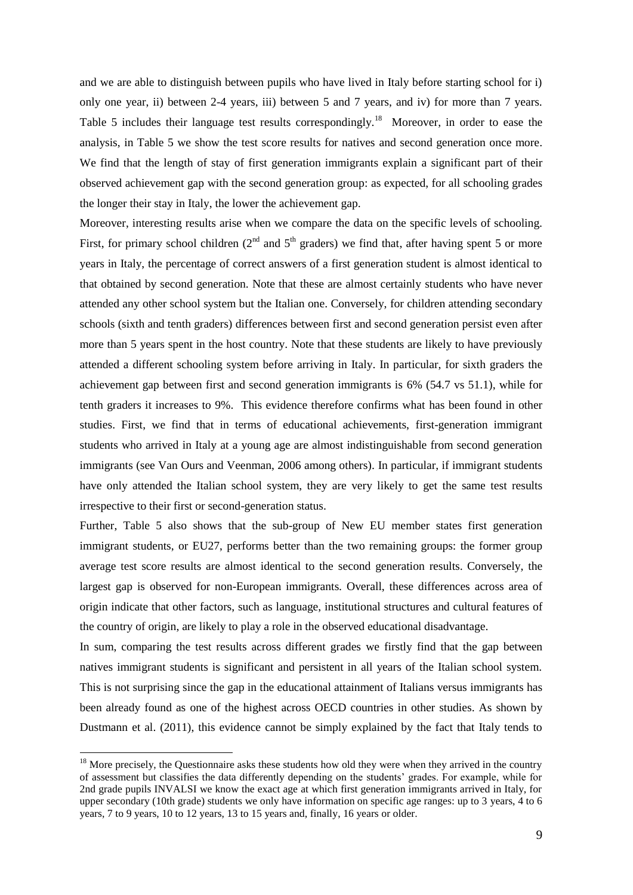and we are able to distinguish between pupils who have lived in Italy before starting school for i) only one year, ii) between 2-4 years, iii) between 5 and 7 years, and iv) for more than 7 years. Table 5 includes their language test results correspondingly.<sup>18</sup> Moreover, in order to ease the analysis, in Table 5 we show the test score results for natives and second generation once more. We find that the length of stay of first generation immigrants explain a significant part of their observed achievement gap with the second generation group: as expected, for all schooling grades the longer their stay in Italy, the lower the achievement gap.

Moreover, interesting results arise when we compare the data on the specific levels of schooling. First, for primary school children  $(2^{nd}$  and  $5^{th}$  graders) we find that, after having spent 5 or more years in Italy, the percentage of correct answers of a first generation student is almost identical to that obtained by second generation. Note that these are almost certainly students who have never attended any other school system but the Italian one. Conversely, for children attending secondary schools (sixth and tenth graders) differences between first and second generation persist even after more than 5 years spent in the host country. Note that these students are likely to have previously attended a different schooling system before arriving in Italy. In particular, for sixth graders the achievement gap between first and second generation immigrants is 6% (54.7 vs 51.1), while for tenth graders it increases to 9%. This evidence therefore confirms what has been found in other studies. First, we find that in terms of educational achievements, first-generation immigrant students who arrived in Italy at a young age are almost indistinguishable from second generation immigrants (see Van Ours and Veenman, 2006 among others). In particular, if immigrant students have only attended the Italian school system, they are very likely to get the same test results irrespective to their first or second-generation status.

Further, Table 5 also shows that the sub-group of New EU member states first generation immigrant students, or EU27, performs better than the two remaining groups: the former group average test score results are almost identical to the second generation results. Conversely, the largest gap is observed for non-European immigrants. Overall, these differences across area of origin indicate that other factors, such as language, institutional structures and cultural features of the country of origin, are likely to play a role in the observed educational disadvantage.

In sum, comparing the test results across different grades we firstly find that the gap between natives immigrant students is significant and persistent in all years of the Italian school system. This is not surprising since the gap in the educational attainment of Italians versus immigrants has been already found as one of the highest across OECD countries in other studies. As shown by Dustmann et al. (2011), this evidence cannot be simply explained by the fact that Italy tends to

<sup>&</sup>lt;sup>18</sup> More precisely, the Questionnaire asks these students how old they were when they arrived in the country of assessment but classifies the data differently depending on the students' grades. For example, while for 2nd grade pupils INVALSI we know the exact age at which first generation immigrants arrived in Italy, for upper secondary (10th grade) students we only have information on specific age ranges: up to 3 years, 4 to 6 years, 7 to 9 years, 10 to 12 years, 13 to 15 years and, finally, 16 years or older.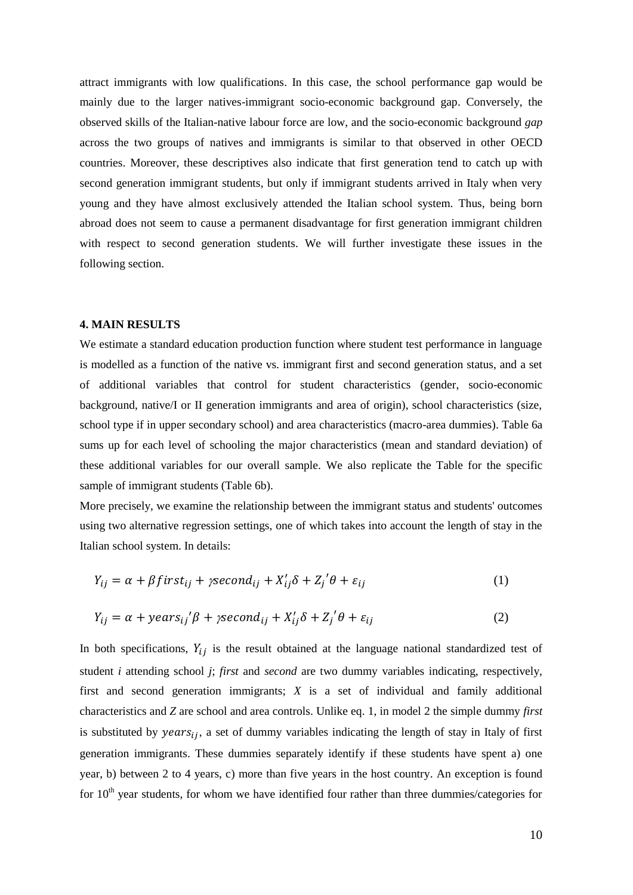attract immigrants with low qualifications. In this case, the school performance gap would be mainly due to the larger natives-immigrant socio-economic background gap. Conversely, the observed skills of the Italian-native labour force are low, and the socio-economic background *gap* across the two groups of natives and immigrants is similar to that observed in other OECD countries. Moreover, these descriptives also indicate that first generation tend to catch up with second generation immigrant students, but only if immigrant students arrived in Italy when very young and they have almost exclusively attended the Italian school system. Thus, being born abroad does not seem to cause a permanent disadvantage for first generation immigrant children with respect to second generation students. We will further investigate these issues in the following section.

#### **4. MAIN RESULTS**

We estimate a standard education production function where student test performance in language is modelled as a function of the native vs. immigrant first and second generation status, and a set of additional variables that control for student characteristics (gender, socio-economic background, native/I or II generation immigrants and area of origin), school characteristics (size, school type if in upper secondary school) and area characteristics (macro-area dummies). Table 6a sums up for each level of schooling the major characteristics (mean and standard deviation) of these additional variables for our overall sample. We also replicate the Table for the specific sample of immigrant students (Table 6b).

More precisely, we examine the relationship between the immigrant status and students' outcomes using two alternative regression settings, one of which takes into account the length of stay in the Italian school system. In details:

$$
Y_{ij} = \alpha + \beta first_{ij} + \gamma second_{ij} + X'_{ij}\delta + Z'_{j}\theta + \varepsilon_{ij}
$$
\n(1)

$$
Y_{ij} = \alpha + \text{years}_{ij} \beta + \text{%} \text{second}_{ij} + \text{X}'_{ij} \delta + \text{Z}'_j \theta + \varepsilon_{ij}
$$
 (2)

In both specifications,  $Y_{ij}$  is the result obtained at the language national standardized test of student *i* attending school *j*; *first* and *second* are two dummy variables indicating, respectively, first and second generation immigrants; *X* is a set of individual and family additional characteristics and *Z* are school and area controls. Unlike eq. 1, in model 2 the simple dummy *first* is substituted by  $years_{ij}$ , a set of dummy variables indicating the length of stay in Italy of first generation immigrants. These dummies separately identify if these students have spent a) one year, b) between 2 to 4 years, c) more than five years in the host country. An exception is found for  $10<sup>th</sup>$  year students, for whom we have identified four rather than three dummies/categories for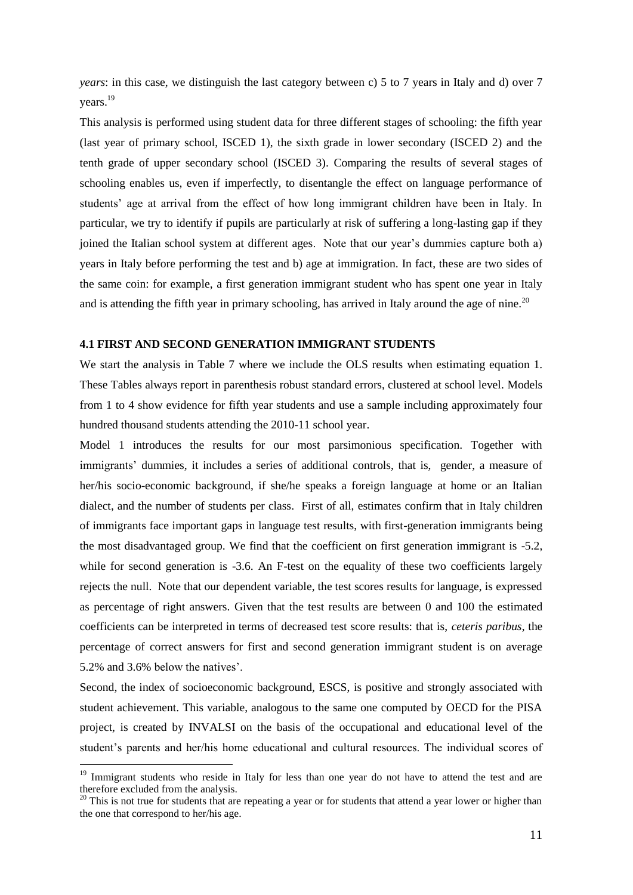*years*: in this case, we distinguish the last category between c) 5 to 7 years in Italy and d) over 7 years.<sup>19</sup>

This analysis is performed using student data for three different stages of schooling: the fifth year (last year of primary school, ISCED 1), the sixth grade in lower secondary (ISCED 2) and the tenth grade of upper secondary school (ISCED 3). Comparing the results of several stages of schooling enables us, even if imperfectly, to disentangle the effect on language performance of students' age at arrival from the effect of how long immigrant children have been in Italy. In particular, we try to identify if pupils are particularly at risk of suffering a long-lasting gap if they joined the Italian school system at different ages. Note that our year's dummies capture both a) years in Italy before performing the test and b) age at immigration. In fact, these are two sides of the same coin: for example, a first generation immigrant student who has spent one year in Italy and is attending the fifth year in primary schooling, has arrived in Italy around the age of nine.<sup>20</sup>

### **4.1 FIRST AND SECOND GENERATION IMMIGRANT STUDENTS**

We start the analysis in Table 7 where we include the OLS results when estimating equation 1. These Tables always report in parenthesis robust standard errors, clustered at school level. Models from 1 to 4 show evidence for fifth year students and use a sample including approximately four hundred thousand students attending the 2010-11 school year.

Model 1 introduces the results for our most parsimonious specification. Together with immigrants' dummies, it includes a series of additional controls, that is, gender, a measure of her/his socio-economic background, if she/he speaks a foreign language at home or an Italian dialect, and the number of students per class. First of all, estimates confirm that in Italy children of immigrants face important gaps in language test results, with first-generation immigrants being the most disadvantaged group. We find that the coefficient on first generation immigrant is -5.2, while for second generation is -3.6. An F-test on the equality of these two coefficients largely rejects the null. Note that our dependent variable, the test scores results for language, is expressed as percentage of right answers. Given that the test results are between 0 and 100 the estimated coefficients can be interpreted in terms of decreased test score results: that is, *ceteris paribus*, the percentage of correct answers for first and second generation immigrant student is on average 5.2% and 3.6% below the natives'.

Second, the index of socioeconomic background, ESCS, is positive and strongly associated with student achievement. This variable, analogous to the same one computed by OECD for the PISA project, is created by INVALSI on the basis of the occupational and educational level of the student's parents and her/his home educational and cultural resources. The individual scores of

<sup>&</sup>lt;sup>19</sup> Immigrant students who reside in Italy for less than one year do not have to attend the test and are therefore excluded from the analysis.

 $20$  This is not true for students that are repeating a year or for students that attend a year lower or higher than the one that correspond to her/his age.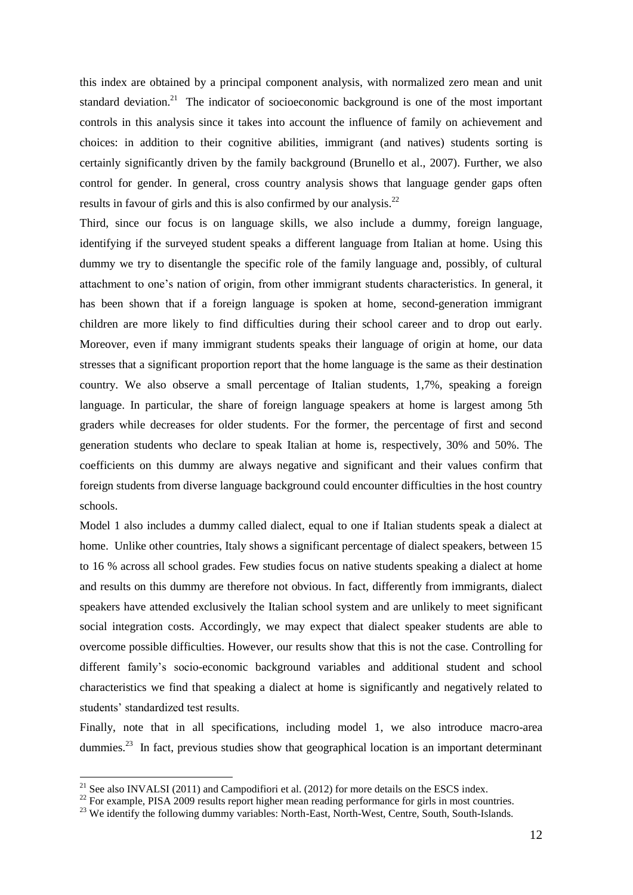this index are obtained by a principal component analysis, with normalized zero mean and unit standard deviation.<sup>21</sup> The indicator of socioeconomic background is one of the most important controls in this analysis since it takes into account the influence of family on achievement and choices: in addition to their cognitive abilities, immigrant (and natives) students sorting is certainly significantly driven by the family background (Brunello et al., 2007). Further, we also control for gender. In general, cross country analysis shows that language gender gaps often results in favour of girls and this is also confirmed by our analysis. $^{22}$ 

Third, since our focus is on language skills, we also include a dummy, foreign language, identifying if the surveyed student speaks a different language from Italian at home. Using this dummy we try to disentangle the specific role of the family language and, possibly, of cultural attachment to one's nation of origin, from other immigrant students characteristics. In general, it has been shown that if a foreign language is spoken at home, second-generation immigrant children are more likely to find difficulties during their school career and to drop out early. Moreover, even if many immigrant students speaks their language of origin at home, our data stresses that a significant proportion report that the home language is the same as their destination country. We also observe a small percentage of Italian students, 1,7%, speaking a foreign language. In particular, the share of foreign language speakers at home is largest among 5th graders while decreases for older students. For the former, the percentage of first and second generation students who declare to speak Italian at home is, respectively, 30% and 50%. The coefficients on this dummy are always negative and significant and their values confirm that foreign students from diverse language background could encounter difficulties in the host country schools.

Model 1 also includes a dummy called dialect, equal to one if Italian students speak a dialect at home. Unlike other countries, Italy shows a significant percentage of dialect speakers, between 15 to 16 % across all school grades. Few studies focus on native students speaking a dialect at home and results on this dummy are therefore not obvious. In fact, differently from immigrants, dialect speakers have attended exclusively the Italian school system and are unlikely to meet significant social integration costs. Accordingly, we may expect that dialect speaker students are able to overcome possible difficulties. However, our results show that this is not the case. Controlling for different family's socio-economic background variables and additional student and school characteristics we find that speaking a dialect at home is significantly and negatively related to students' standardized test results.

Finally, note that in all specifications, including model 1, we also introduce macro-area dummies.<sup>23</sup> In fact, previous studies show that geographical location is an important determinant

<sup>&</sup>lt;sup>21</sup> See also INVALSI (2011) and Campodifiori et al. (2012) for more details on the ESCS index.

<sup>&</sup>lt;sup>22</sup> For example, PISA 2009 results report higher mean reading performance for girls in most countries.

<sup>&</sup>lt;sup>23</sup> We identify the following dummy variables: North-East, North-West, Centre, South, South-Islands.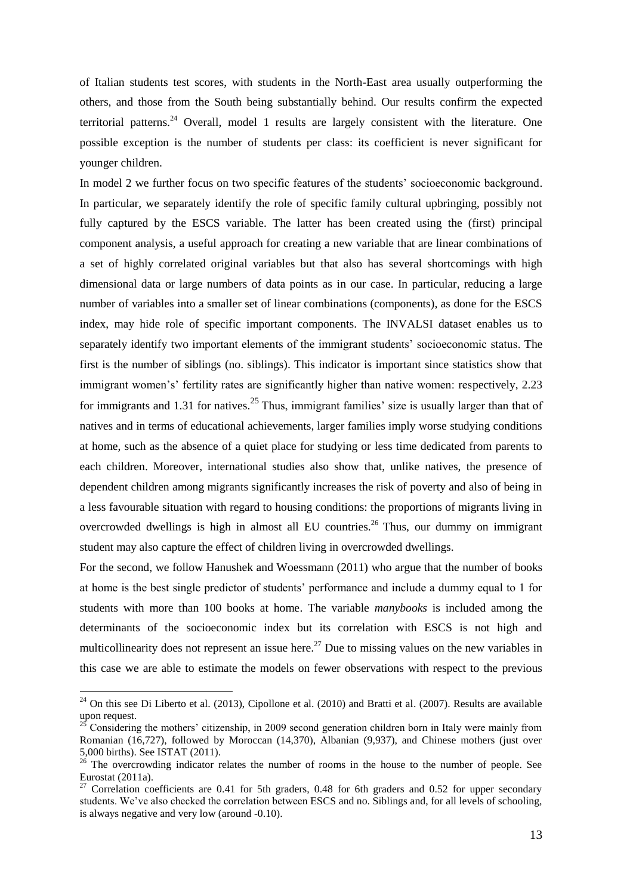of Italian students test scores, with students in the North-East area usually outperforming the others, and those from the South being substantially behind. Our results confirm the expected territorial patterns.<sup>24</sup> Overall, model 1 results are largely consistent with the literature. One possible exception is the number of students per class: its coefficient is never significant for younger children.

In model 2 we further focus on two specific features of the students' socioeconomic background. In particular, we separately identify the role of specific family cultural upbringing, possibly not fully captured by the ESCS variable. The latter has been created using the (first) principal component analysis, a useful approach for creating a new variable that are linear combinations of a set of highly correlated original variables but that also has several shortcomings with high dimensional data or large numbers of data points as in our case. In particular, reducing a large number of variables into a smaller set of linear combinations (components), as done for the ESCS index, may hide role of specific important components. The INVALSI dataset enables us to separately identify two important elements of the immigrant students' socioeconomic status. The first is the number of siblings (no. siblings). This indicator is important since statistics show that immigrant women's' fertility rates are significantly higher than native women: respectively, 2.23 for immigrants and 1.31 for natives.<sup>25</sup> Thus, immigrant families' size is usually larger than that of natives and in terms of educational achievements, larger families imply worse studying conditions at home, such as the absence of a quiet place for studying or less time dedicated from parents to each children. Moreover, international studies also show that, unlike natives, the presence of dependent children among migrants significantly increases the risk of poverty and also of being in a less favourable situation with regard to housing conditions: the proportions of migrants living in overcrowded dwellings is high in almost all EU countries.<sup>26</sup> Thus, our dummy on immigrant student may also capture the effect of children living in overcrowded dwellings.

For the second, we follow Hanushek and Woessmann (2011) who argue that the number of books at home is the best single predictor of students' performance and include a dummy equal to 1 for students with more than 100 books at home. The variable *manybooks* is included among the determinants of the socioeconomic index but its correlation with ESCS is not high and multicollinearity does not represent an issue here.<sup>27</sup> Due to missing values on the new variables in this case we are able to estimate the models on fewer observations with respect to the previous

 $^{24}$  On this see Di Liberto et al. (2013), Cipollone et al. (2010) and Bratti et al. (2007). Results are available upon request.

<sup>25</sup> Considering the mothers' citizenship, in 2009 second generation children born in Italy were mainly from Romanian (16,727), followed by Moroccan (14,370), Albanian (9,937), and Chinese mothers (just over 5,000 births). See ISTAT (2011).

 $26$  The overcrowding indicator relates the number of rooms in the house to the number of people. See Eurostat (2011a).

<sup>&</sup>lt;sup>27</sup> Correlation coefficients are 0.41 for 5th graders, 0.48 for 6th graders and 0.52 for upper secondary students. We've also checked the correlation between ESCS and no. Siblings and, for all levels of schooling, is always negative and very low (around -0.10).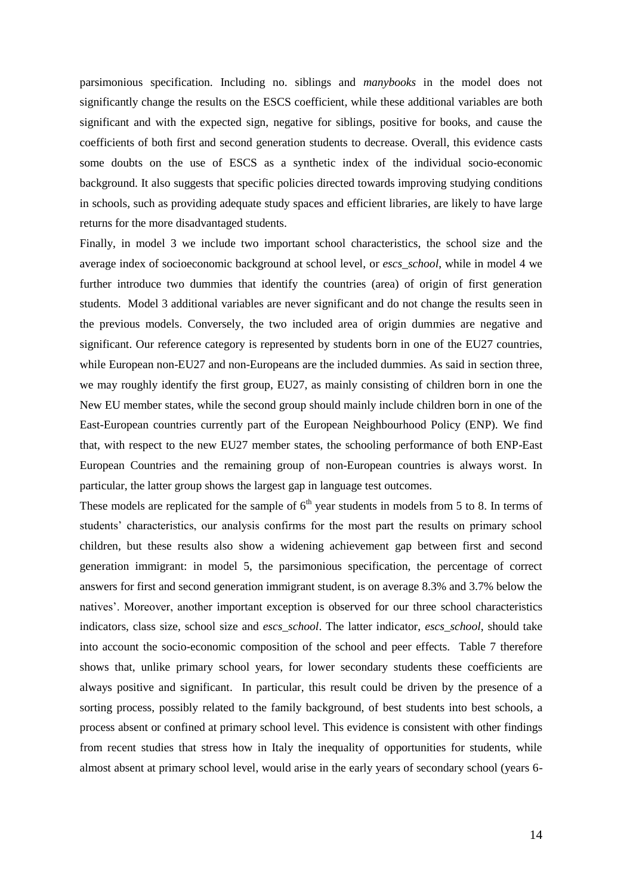parsimonious specification. Including no. siblings and *manybooks* in the model does not significantly change the results on the ESCS coefficient, while these additional variables are both significant and with the expected sign, negative for siblings, positive for books, and cause the coefficients of both first and second generation students to decrease. Overall, this evidence casts some doubts on the use of ESCS as a synthetic index of the individual socio-economic background. It also suggests that specific policies directed towards improving studying conditions in schools, such as providing adequate study spaces and efficient libraries, are likely to have large returns for the more disadvantaged students.

Finally, in model 3 we include two important school characteristics, the school size and the average index of socioeconomic background at school level, or *escs\_school*, while in model 4 we further introduce two dummies that identify the countries (area) of origin of first generation students. Model 3 additional variables are never significant and do not change the results seen in the previous models. Conversely, the two included area of origin dummies are negative and significant. Our reference category is represented by students born in one of the EU27 countries, while European non-EU27 and non-Europeans are the included dummies. As said in section three, we may roughly identify the first group, EU27, as mainly consisting of children born in one the New EU member states, while the second group should mainly include children born in one of the East-European countries currently part of the European Neighbourhood Policy (ENP). We find that, with respect to the new EU27 member states, the schooling performance of both ENP-East European Countries and the remaining group of non-European countries is always worst. In particular, the latter group shows the largest gap in language test outcomes.

These models are replicated for the sample of  $6<sup>th</sup>$  year students in models from 5 to 8. In terms of students' characteristics, our analysis confirms for the most part the results on primary school children, but these results also show a widening achievement gap between first and second generation immigrant: in model 5, the parsimonious specification, the percentage of correct answers for first and second generation immigrant student, is on average 8.3% and 3.7% below the natives'. Moreover, another important exception is observed for our three school characteristics indicators, class size, school size and *escs\_school*. The latter indicator, *escs\_school*, should take into account the socio-economic composition of the school and peer effects. Table 7 therefore shows that, unlike primary school years, for lower secondary students these coefficients are always positive and significant. In particular, this result could be driven by the presence of a sorting process, possibly related to the family background, of best students into best schools, a process absent or confined at primary school level. This evidence is consistent with other findings from recent studies that stress how in Italy the inequality of opportunities for students, while almost absent at primary school level, would arise in the early years of secondary school (years 6-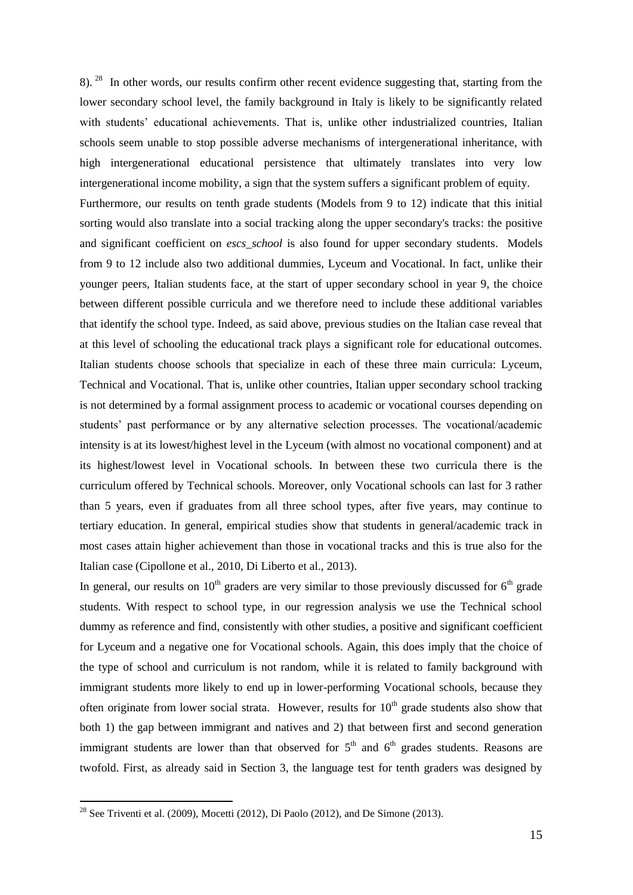8). <sup>28</sup> In other words, our results confirm other recent evidence suggesting that, starting from the lower secondary school level, the family background in Italy is likely to be significantly related with students' educational achievements. That is, unlike other industrialized countries, Italian schools seem unable to stop possible adverse mechanisms of intergenerational inheritance, with high intergenerational educational persistence that ultimately translates into very low intergenerational income mobility, a sign that the system suffers a significant problem of equity. Furthermore, our results on tenth grade students (Models from 9 to 12) indicate that this initial sorting would also translate into a social tracking along the upper secondary's tracks: the positive and significant coefficient on *escs\_school* is also found for upper secondary students. Models from 9 to 12 include also two additional dummies, Lyceum and Vocational. In fact, unlike their younger peers, Italian students face, at the start of upper secondary school in year 9, the choice between different possible curricula and we therefore need to include these additional variables that identify the school type. Indeed, as said above, previous studies on the Italian case reveal that at this level of schooling the educational track plays a significant role for educational outcomes. Italian students choose schools that specialize in each of these three main curricula: Lyceum, Technical and Vocational. That is, unlike other countries, Italian upper secondary school tracking is not determined by a formal assignment process to academic or vocational courses depending on students' past performance or by any alternative selection processes. The vocational/academic intensity is at its lowest/highest level in the Lyceum (with almost no vocational component) and at its highest/lowest level in Vocational schools. In between these two curricula there is the curriculum offered by Technical schools. Moreover, only Vocational schools can last for 3 rather than 5 years, even if graduates from all three school types, after five years, may continue to tertiary education. In general, empirical studies show that students in general/academic track in most cases attain higher achievement than those in vocational tracks and this is true also for the Italian case (Cipollone et al., 2010, Di Liberto et al., 2013).

In general, our results on  $10<sup>th</sup>$  graders are very similar to those previously discussed for  $6<sup>th</sup>$  grade students. With respect to school type, in our regression analysis we use the Technical school dummy as reference and find, consistently with other studies, a positive and significant coefficient for Lyceum and a negative one for Vocational schools. Again, this does imply that the choice of the type of school and curriculum is not random, while it is related to family background with immigrant students more likely to end up in lower-performing Vocational schools, because they often originate from lower social strata. However, results for  $10<sup>th</sup>$  grade students also show that both 1) the gap between immigrant and natives and 2) that between first and second generation immigrant students are lower than that observed for  $5<sup>th</sup>$  and  $6<sup>th</sup>$  grades students. Reasons are twofold. First, as already said in Section 3, the language test for tenth graders was designed by

<sup>&</sup>lt;sup>28</sup> See Triventi et al. (2009), Mocetti (2012), Di Paolo (2012), and De Simone (2013).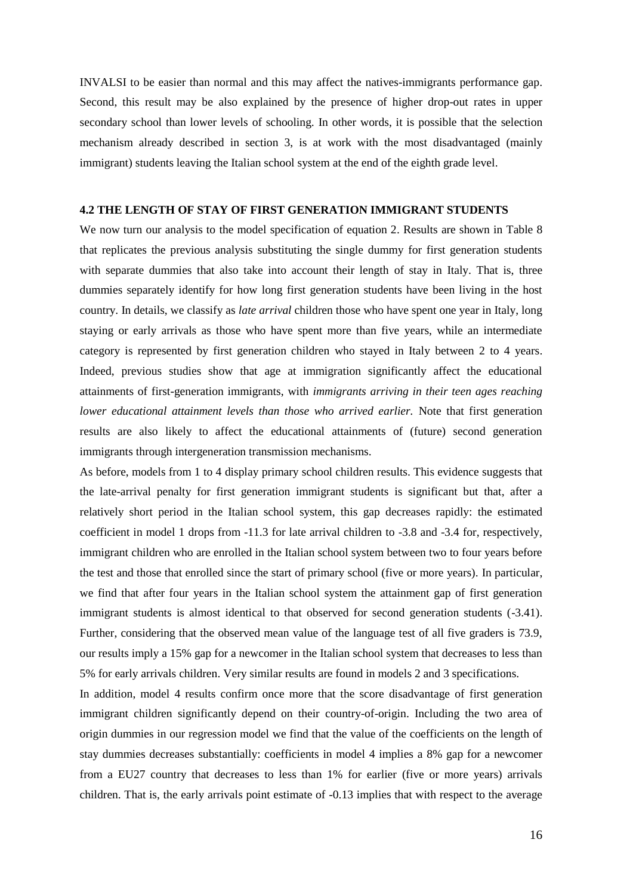INVALSI to be easier than normal and this may affect the natives-immigrants performance gap. Second, this result may be also explained by the presence of higher drop-out rates in upper secondary school than lower levels of schooling. In other words, it is possible that the selection mechanism already described in section 3, is at work with the most disadvantaged (mainly immigrant) students leaving the Italian school system at the end of the eighth grade level.

#### **4.2 THE LENGTH OF STAY OF FIRST GENERATION IMMIGRANT STUDENTS**

We now turn our analysis to the model specification of equation 2. Results are shown in Table 8 that replicates the previous analysis substituting the single dummy for first generation students with separate dummies that also take into account their length of stay in Italy. That is, three dummies separately identify for how long first generation students have been living in the host country. In details, we classify as *late arrival* children those who have spent one year in Italy, long staying or early arrivals as those who have spent more than five years, while an intermediate category is represented by first generation children who stayed in Italy between 2 to 4 years. Indeed, previous studies show that age at immigration significantly affect the educational attainments of first-generation immigrants, with *immigrants arriving in their teen ages reaching lower educational attainment levels than those who arrived earlier.* Note that first generation results are also likely to affect the educational attainments of (future) second generation immigrants through intergeneration transmission mechanisms.

As before, models from 1 to 4 display primary school children results. This evidence suggests that the late-arrival penalty for first generation immigrant students is significant but that, after a relatively short period in the Italian school system, this gap decreases rapidly: the estimated coefficient in model 1 drops from -11.3 for late arrival children to -3.8 and -3.4 for, respectively, immigrant children who are enrolled in the Italian school system between two to four years before the test and those that enrolled since the start of primary school (five or more years). In particular, we find that after four years in the Italian school system the attainment gap of first generation immigrant students is almost identical to that observed for second generation students (-3.41). Further, considering that the observed mean value of the language test of all five graders is 73.9, our results imply a 15% gap for a newcomer in the Italian school system that decreases to less than 5% for early arrivals children. Very similar results are found in models 2 and 3 specifications.

In addition, model 4 results confirm once more that the score disadvantage of first generation immigrant children significantly depend on their country-of-origin. Including the two area of origin dummies in our regression model we find that the value of the coefficients on the length of stay dummies decreases substantially: coefficients in model 4 implies a 8% gap for a newcomer from a EU27 country that decreases to less than 1% for earlier (five or more years) arrivals children. That is, the early arrivals point estimate of -0.13 implies that with respect to the average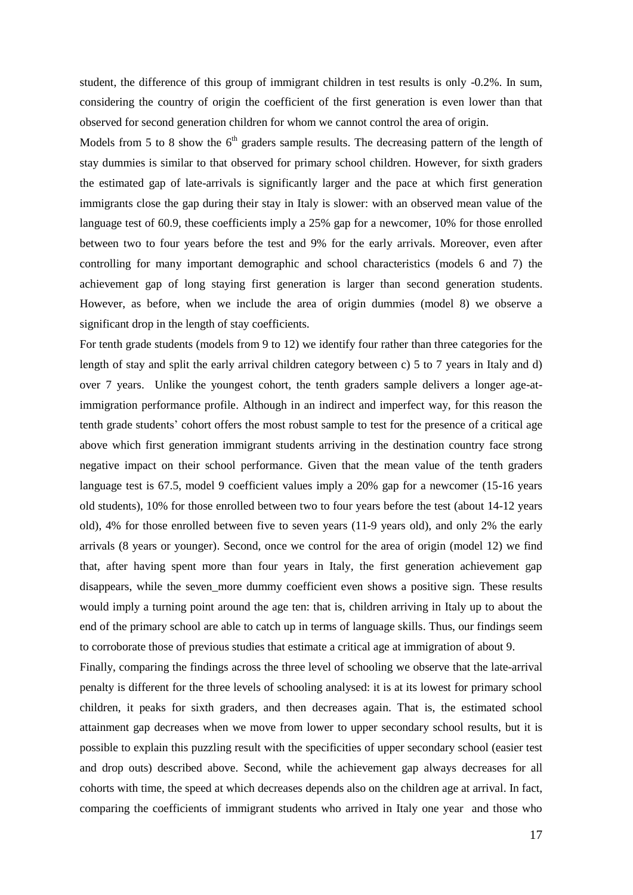student, the difference of this group of immigrant children in test results is only -0.2%. In sum, considering the country of origin the coefficient of the first generation is even lower than that observed for second generation children for whom we cannot control the area of origin.

Models from 5 to 8 show the  $6<sup>th</sup>$  graders sample results. The decreasing pattern of the length of stay dummies is similar to that observed for primary school children. However, for sixth graders the estimated gap of late-arrivals is significantly larger and the pace at which first generation immigrants close the gap during their stay in Italy is slower: with an observed mean value of the language test of 60.9, these coefficients imply a 25% gap for a newcomer, 10% for those enrolled between two to four years before the test and 9% for the early arrivals. Moreover, even after controlling for many important demographic and school characteristics (models 6 and 7) the achievement gap of long staying first generation is larger than second generation students. However, as before, when we include the area of origin dummies (model 8) we observe a significant drop in the length of stay coefficients.

For tenth grade students (models from 9 to 12) we identify four rather than three categories for the length of stay and split the early arrival children category between c) 5 to 7 years in Italy and d) over 7 years. Unlike the youngest cohort, the tenth graders sample delivers a longer age-atimmigration performance profile. Although in an indirect and imperfect way, for this reason the tenth grade students' cohort offers the most robust sample to test for the presence of a critical age above which first generation immigrant students arriving in the destination country face strong negative impact on their school performance. Given that the mean value of the tenth graders language test is 67.5, model 9 coefficient values imply a 20% gap for a newcomer (15-16 years old students), 10% for those enrolled between two to four years before the test (about 14-12 years old), 4% for those enrolled between five to seven years (11-9 years old), and only 2% the early arrivals (8 years or younger). Second, once we control for the area of origin (model 12) we find that, after having spent more than four years in Italy, the first generation achievement gap disappears, while the seven\_more dummy coefficient even shows a positive sign. These results would imply a turning point around the age ten: that is, children arriving in Italy up to about the end of the primary school are able to catch up in terms of language skills. Thus, our findings seem to corroborate those of previous studies that estimate a critical age at immigration of about 9.

Finally, comparing the findings across the three level of schooling we observe that the late-arrival penalty is different for the three levels of schooling analysed: it is at its lowest for primary school children, it peaks for sixth graders, and then decreases again. That is, the estimated school attainment gap decreases when we move from lower to upper secondary school results, but it is possible to explain this puzzling result with the specificities of upper secondary school (easier test and drop outs) described above. Second, while the achievement gap always decreases for all cohorts with time, the speed at which decreases depends also on the children age at arrival. In fact, comparing the coefficients of immigrant students who arrived in Italy one year and those who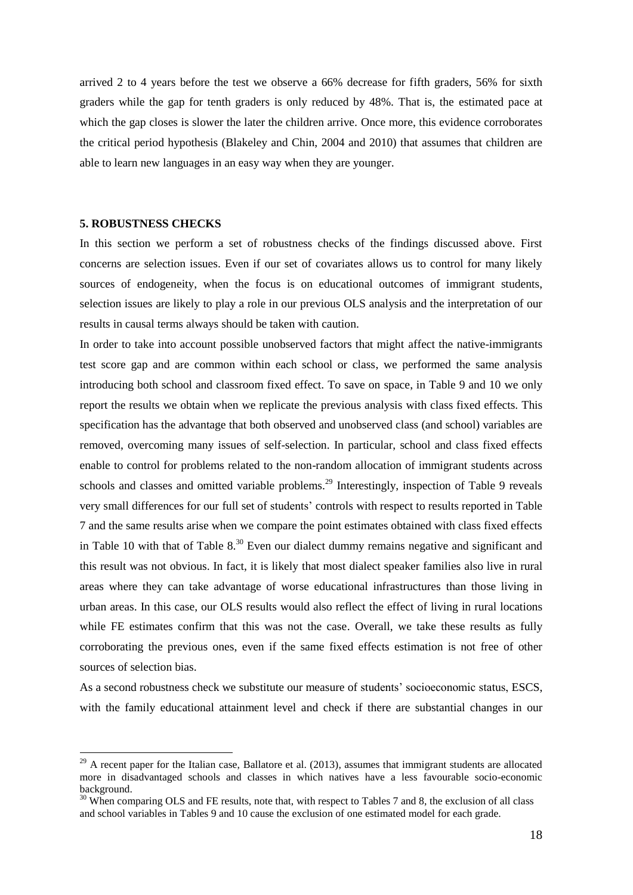arrived 2 to 4 years before the test we observe a 66% decrease for fifth graders, 56% for sixth graders while the gap for tenth graders is only reduced by 48%. That is, the estimated pace at which the gap closes is slower the later the children arrive. Once more, this evidence corroborates the critical period hypothesis (Blakeley and Chin, 2004 and 2010) that assumes that children are able to learn new languages in an easy way when they are younger.

#### **5. ROBUSTNESS CHECKS**

<u>.</u>

In this section we perform a set of robustness checks of the findings discussed above. First concerns are selection issues. Even if our set of covariates allows us to control for many likely sources of endogeneity, when the focus is on educational outcomes of immigrant students, selection issues are likely to play a role in our previous OLS analysis and the interpretation of our results in causal terms always should be taken with caution.

In order to take into account possible unobserved factors that might affect the native-immigrants test score gap and are common within each school or class, we performed the same analysis introducing both school and classroom fixed effect. To save on space, in Table 9 and 10 we only report the results we obtain when we replicate the previous analysis with class fixed effects. This specification has the advantage that both observed and unobserved class (and school) variables are removed, overcoming many issues of self-selection. In particular, school and class fixed effects enable to control for problems related to the non-random allocation of immigrant students across schools and classes and omitted variable problems.<sup>29</sup> Interestingly, inspection of Table 9 reveals very small differences for our full set of students' controls with respect to results reported in Table 7 and the same results arise when we compare the point estimates obtained with class fixed effects in Table 10 with that of Table  $8^{30}$  Even our dialect dummy remains negative and significant and this result was not obvious. In fact, it is likely that most dialect speaker families also live in rural areas where they can take advantage of worse educational infrastructures than those living in urban areas. In this case, our OLS results would also reflect the effect of living in rural locations while FE estimates confirm that this was not the case. Overall, we take these results as fully corroborating the previous ones, even if the same fixed effects estimation is not free of other sources of selection bias.

As a second robustness check we substitute our measure of students' socioeconomic status, ESCS, with the family educational attainment level and check if there are substantial changes in our

<sup>&</sup>lt;sup>29</sup> A recent paper for the Italian case, Ballatore et al. (2013), assumes that immigrant students are allocated more in disadvantaged schools and classes in which natives have a less favourable socio-economic background.

<sup>&</sup>lt;sup>30</sup> When comparing OLS and FE results, note that, with respect to Tables 7 and 8, the exclusion of all class and school variables in Tables 9 and 10 cause the exclusion of one estimated model for each grade.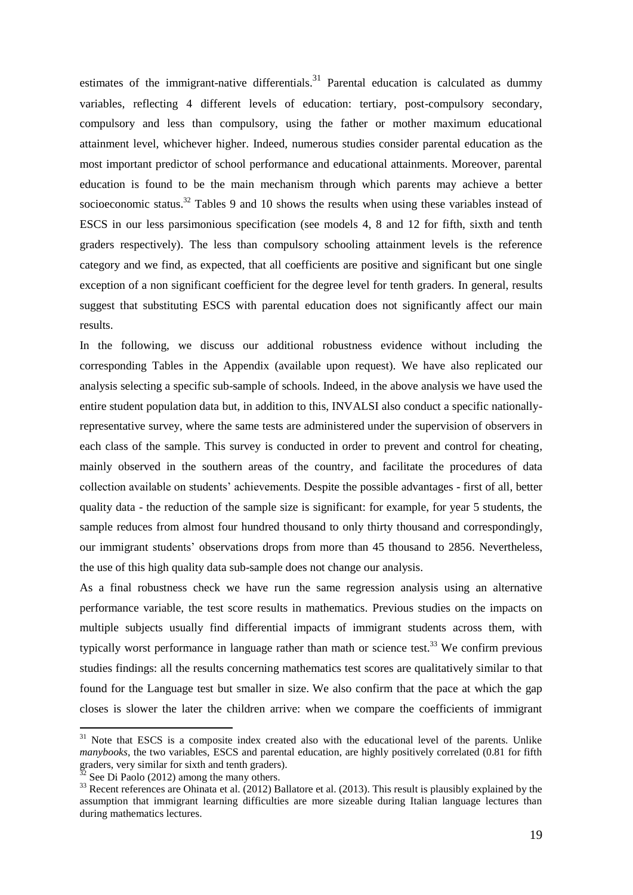estimates of the immigrant-native differentials.<sup>31</sup> Parental education is calculated as dummy variables, reflecting 4 different levels of education: tertiary, post-compulsory secondary, compulsory and less than compulsory, using the father or mother maximum educational attainment level, whichever higher. Indeed, numerous studies consider parental education as the most important predictor of school performance and educational attainments. Moreover, parental education is found to be the main mechanism through which parents may achieve a better socioeconomic status.<sup>32</sup> Tables 9 and 10 shows the results when using these variables instead of ESCS in our less parsimonious specification (see models 4, 8 and 12 for fifth, sixth and tenth graders respectively). The less than compulsory schooling attainment levels is the reference category and we find, as expected, that all coefficients are positive and significant but one single exception of a non significant coefficient for the degree level for tenth graders. In general, results suggest that substituting ESCS with parental education does not significantly affect our main results.

In the following, we discuss our additional robustness evidence without including the corresponding Tables in the Appendix (available upon request). We have also replicated our analysis selecting a specific sub-sample of schools. Indeed, in the above analysis we have used the entire student population data but, in addition to this, INVALSI also conduct a specific nationallyrepresentative survey, where the same tests are administered under the supervision of observers in each class of the sample. This survey is conducted in order to prevent and control for cheating, mainly observed in the southern areas of the country, and facilitate the procedures of data collection available on students' achievements. Despite the possible advantages - first of all, better quality data - the reduction of the sample size is significant: for example, for year 5 students, the sample reduces from almost four hundred thousand to only thirty thousand and correspondingly, our immigrant students' observations drops from more than 45 thousand to 2856. Nevertheless, the use of this high quality data sub-sample does not change our analysis.

As a final robustness check we have run the same regression analysis using an alternative performance variable, the test score results in mathematics. Previous studies on the impacts on multiple subjects usually find differential impacts of immigrant students across them, with typically worst performance in language rather than math or science test.<sup>33</sup> We confirm previous studies findings: all the results concerning mathematics test scores are qualitatively similar to that found for the Language test but smaller in size. We also confirm that the pace at which the gap closes is slower the later the children arrive: when we compare the coefficients of immigrant

<sup>&</sup>lt;sup>31</sup> Note that ESCS is a composite index created also with the educational level of the parents. Unlike *manybooks*, the two variables, ESCS and parental education, are highly positively correlated (0.81 for fifth graders, very similar for sixth and tenth graders).

See Di Paolo (2012) among the many others.

<sup>&</sup>lt;sup>33</sup> Recent references are Ohinata et al. (2012) Ballatore et al. (2013). This result is plausibly explained by the assumption that immigrant learning difficulties are more sizeable during Italian language lectures than during mathematics lectures.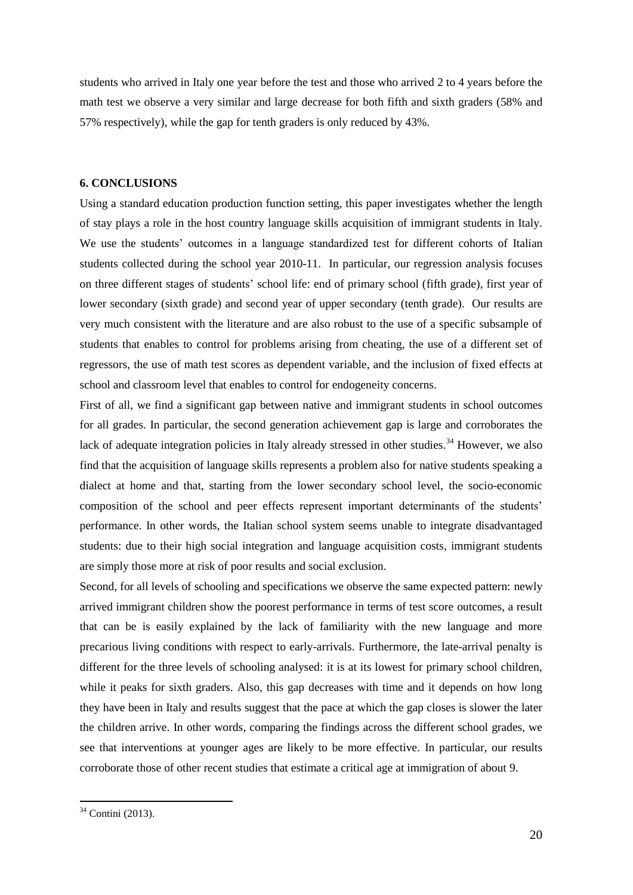students who arrived in Italy one year before the test and those who arrived 2 to 4 years before the math test we observe a very similar and large decrease for both fifth and sixth graders (58% and 57% respectively), while the gap for tenth graders is only reduced by 43%.

#### **6. CONCLUSIONS**

Using a standard education production function setting, this paper investigates whether the length of stay plays a role in the host country language skills acquisition of immigrant students in Italy. We use the students' outcomes in a language standardized test for different cohorts of Italian students collected during the school year 2010-11. In particular, our regression analysis focuses on three different stages of students' school life: end of primary school (fifth grade), first year of lower secondary (sixth grade) and second year of upper secondary (tenth grade). Our results are very much consistent with the literature and are also robust to the use of a specific subsample of students that enables to control for problems arising from cheating, the use of a different set of regressors, the use of math test scores as dependent variable, and the inclusion of fixed effects at school and classroom level that enables to control for endogeneity concerns.

First of all, we find a significant gap between native and immigrant students in school outcomes for all grades. In particular, the second generation achievement gap is large and corroborates the lack of adequate integration policies in Italy already stressed in other studies.<sup>34</sup> However, we also find that the acquisition of language skills represents a problem also for native students speaking a dialect at home and that, starting from the lower secondary school level, the socio-economic composition of the school and peer effects represent important determinants of the students' performance. In other words, the Italian school system seems unable to integrate disadvantaged students: due to their high social integration and language acquisition costs, immigrant students are simply those more at risk of poor results and social exclusion.

Second, for all levels of schooling and specifications we observe the same expected pattern: newly arrived immigrant children show the poorest performance in terms of test score outcomes, a result that can be is easily explained by the lack of familiarity with the new language and more precarious living conditions with respect to early-arrivals. Furthermore, the late-arrival penalty is different for the three levels of schooling analysed: it is at its lowest for primary school children, while it peaks for sixth graders. Also, this gap decreases with time and it depends on how long they have been in Italy and results suggest that the pace at which the gap closes is slower the later the children arrive. In other words, comparing the findings across the different school grades, we see that interventions at younger ages are likely to be more effective. In particular, our results corroborate those of other recent studies that estimate a critical age at immigration of about 9.

 $34$  Contini (2013).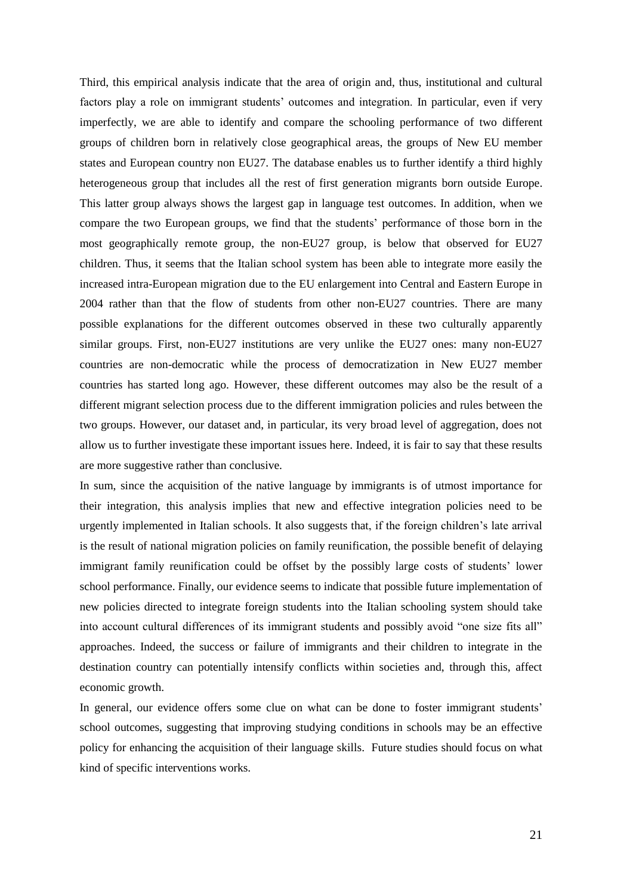Third, this empirical analysis indicate that the area of origin and, thus, institutional and cultural factors play a role on immigrant students' outcomes and integration. In particular, even if very imperfectly, we are able to identify and compare the schooling performance of two different groups of children born in relatively close geographical areas, the groups of New EU member states and European country non EU27. The database enables us to further identify a third highly heterogeneous group that includes all the rest of first generation migrants born outside Europe. This latter group always shows the largest gap in language test outcomes. In addition, when we compare the two European groups, we find that the students' performance of those born in the most geographically remote group, the non-EU27 group, is below that observed for EU27 children. Thus, it seems that the Italian school system has been able to integrate more easily the increased intra-European migration due to the EU enlargement into Central and Eastern Europe in 2004 rather than that the flow of students from other non-EU27 countries. There are many possible explanations for the different outcomes observed in these two culturally apparently similar groups. First, non-EU27 institutions are very unlike the EU27 ones: many non-EU27 countries are non-democratic while the process of democratization in New EU27 member countries has started long ago. However, these different outcomes may also be the result of a different migrant selection process due to the different immigration policies and rules between the two groups. However, our dataset and, in particular, its very broad level of aggregation, does not allow us to further investigate these important issues here. Indeed, it is fair to say that these results are more suggestive rather than conclusive.

In sum, since the acquisition of the native language by immigrants is of utmost importance for their integration, this analysis implies that new and effective integration policies need to be urgently implemented in Italian schools. It also suggests that, if the foreign children's late arrival is the result of national migration policies on family reunification, the possible benefit of delaying immigrant family reunification could be offset by the possibly large costs of students' lower school performance. Finally, our evidence seems to indicate that possible future implementation of new policies directed to integrate foreign students into the Italian schooling system should take into account cultural differences of its immigrant students and possibly avoid "one size fits all" approaches. Indeed, the success or failure of immigrants and their children to integrate in the destination country can potentially intensify conflicts within societies and, through this, affect economic growth.

In general, our evidence offers some clue on what can be done to foster immigrant students' school outcomes, suggesting that improving studying conditions in schools may be an effective policy for enhancing the acquisition of their language skills. Future studies should focus on what kind of specific interventions works.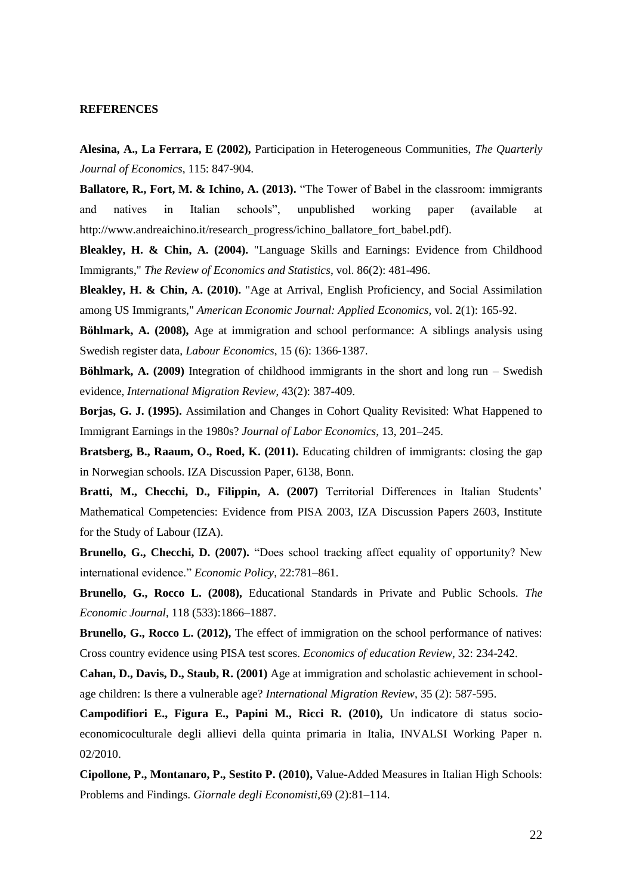#### **REFERENCES**

**Alesina, A., La Ferrara, E (2002),** Participation in Heterogeneous Communities, *The Quarterly Journal of Economics*, 115: 847-904.

**Ballatore, R., Fort, M. & Ichino, A. (2013).** "The Tower of Babel in the classroom: immigrants and natives in Italian schools", unpublished working paper (available at http://www.andreaichino.it/research\_progress/ichino\_ballatore\_fort\_babel.pdf).

**Bleakley, H. & Chin, A. (2004).** "Language Skills and Earnings: Evidence from Childhood Immigrants," *The Review of Economics and Statistics*, vol. 86(2): 481-496.

**Bleakley, H. & Chin, A. (2010).** "Age at Arrival, English Proficiency, and Social Assimilation among US Immigrants," *American Economic Journal: Applied Economics,* vol. 2(1): 165-92.

**Böhlmark, A. (2008),** Age at immigration and school performance: A siblings analysis using Swedish register data, *Labour Economics*, 15 (6): 1366-1387.

**Böhlmark, A. (2009)** Integration of childhood immigrants in the short and long run – Swedish evidence, *International Migration Review*, 43(2): 387-409.

**Borjas, G. J. (1995).** Assimilation and Changes in Cohort Quality Revisited: What Happened to Immigrant Earnings in the 1980s? *Journal of Labor Economics*, 13, 201–245.

**Bratsberg, B., Raaum, O., Roed, K. (2011).** Educating children of immigrants: closing the gap in Norwegian schools. IZA Discussion Paper, 6138, Bonn.

**Bratti, M., Checchi, D., Filippin, A. (2007)** Territorial Differences in Italian Students' Mathematical Competencies: Evidence from PISA 2003, IZA Discussion Papers 2603, Institute for the Study of Labour (IZA).

**Brunello, G., Checchi, D. (2007).** "Does school tracking affect equality of opportunity? New international evidence." *Economic Policy*, 22:781–861.

**Brunello, G., Rocco L. (2008),** Educational Standards in Private and Public Schools. *The Economic Journal*, 118 (533):1866–1887.

**Brunello, G., Rocco L. (2012),** The effect of immigration on the school performance of natives: Cross country evidence using PISA test scores. *Economics of education Review*, 32: 234-242.

**Cahan, D., Davis, D., Staub, R. (2001)** Age at immigration and scholastic achievement in schoolage children: Is there a vulnerable age? *International Migration Review*, 35 (2): 587-595.

**Campodifiori E., Figura E., Papini M., Ricci R. (2010),** Un indicatore di status socioeconomicoculturale degli allievi della quinta primaria in Italia, INVALSI Working Paper n. 02/2010.

**Cipollone, P., Montanaro, P., Sestito P. (2010),** Value-Added Measures in Italian High Schools: Problems and Findings. *Giornale degli Economisti*,69 (2):81–114.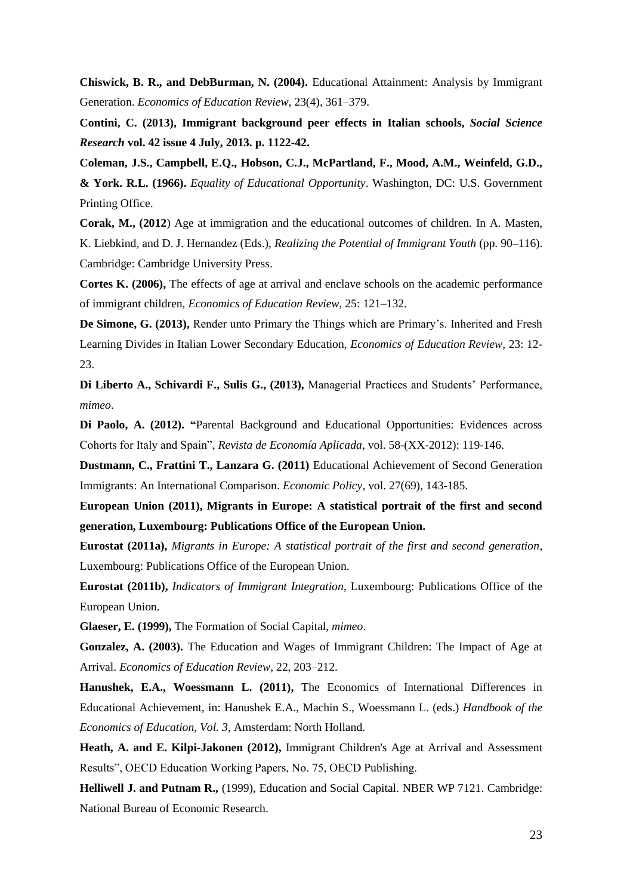**Chiswick, B. R., and DebBurman, N. (2004).** Educational Attainment: Analysis by Immigrant Generation. *Economics of Education Review*, 23(4), 361–379.

**Contini, C. (2013), Immigrant background peer effects in Italian schools,** *Social Science Research* **vol. 42 issue 4 July, 2013. p. 1122-42.**

**Coleman, J.S., Campbell, E.Q., Hobson, C.J., McPartland, F., Mood, A.M., Weinfeld, G.D., & York. R.L. (1966).** *Equality of Educational Opportunity*. Washington, DC: U.S. Government Printing Office.

**Corak, M., (2012**) Age at immigration and the educational outcomes of children. In A. Masten, K. Liebkind, and D. J. Hernandez (Eds.), *Realizing the Potential of Immigrant Youth* (pp. 90–116). Cambridge: Cambridge University Press.

**Cortes K. (2006),** The effects of age at arrival and enclave schools on the academic performance of immigrant children, *Economics of Education Review*, 25: 121–132.

**De Simone, G. (2013),** Render unto Primary the Things which are Primary's. Inherited and Fresh Learning Divides in Italian Lower Secondary Education, *Economics of Education Review*, 23: 12- 23.

**Di Liberto A., Schivardi F., Sulis G., (2013),** Managerial Practices and Students' Performance, *mimeo*.

**Di Paolo, A. (2012). "**Parental Background and Educational Opportunities: Evidences across Cohorts for Italy and Spain", *Revista de Economía Aplicada*, vol. 58-(XX-2012): 119-146.

**Dustmann, C., Frattini T., Lanzara G. (2011)** Educational Achievement of Second Generation Immigrants: An International Comparison. *Economic Policy*, vol. 27(69), 143-185.

**European Union (2011), Migrants in Europe: A statistical portrait of the first and second generation, Luxembourg: Publications Office of the European Union.** 

**Eurostat (2011a),** *Migrants in Europe: A statistical portrait of the first and second generation*, Luxembourg: Publications Office of the European Union.

**Eurostat (2011b),** *Indicators of Immigrant Integration*, Luxembourg: Publications Office of the European Union.

**Glaeser, E. (1999),** The Formation of Social Capital, *mimeo*.

**Gonzalez, A. (2003).** The Education and Wages of Immigrant Children: The Impact of Age at Arrival. *Economics of Education Review*, 22, 203–212.

**Hanushek, E.A., Woessmann L. (2011),** The Economics of International Differences in Educational Achievement, in: Hanushek E.A., Machin S., Woessmann L. (eds.) *Handbook of the Economics of Education, Vol. 3*, Amsterdam: North Holland.

**Heath, A. and E. Kilpi-Jakonen (2012),** Immigrant Children's Age at Arrival and Assessment Results", OECD Education Working Papers, No. 75, OECD Publishing.

**Helliwell J. and Putnam R.,** (1999), Education and Social Capital. NBER WP 7121. Cambridge: National Bureau of Economic Research.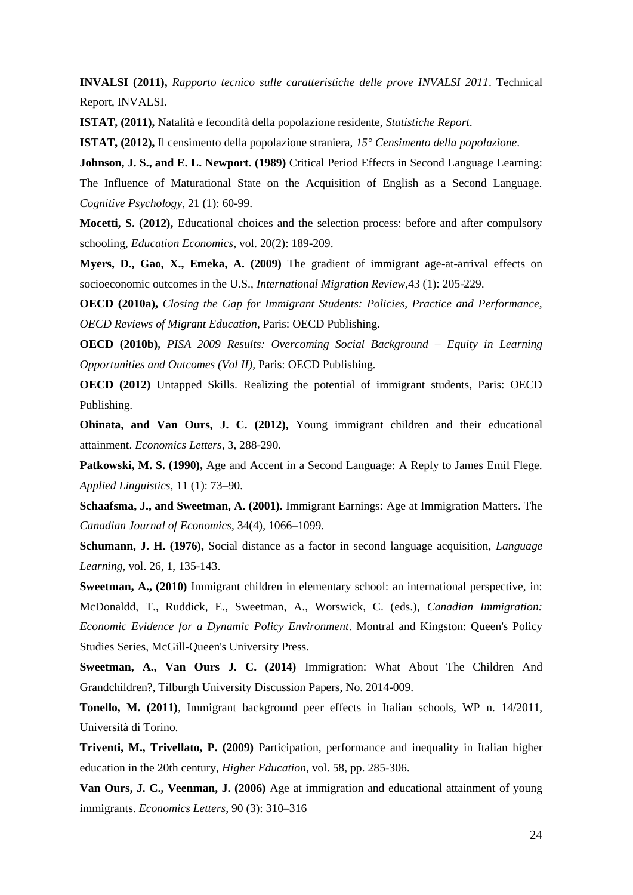**INVALSI (2011),** *Rapporto tecnico sulle caratteristiche delle prove INVALSI 2011*. Technical Report, INVALSI.

**ISTAT, (2011),** Natalità e fecondità della popolazione residente, *Statistiche Report*.

**ISTAT, (2012),** Il censimento della popolazione straniera, *15° Censimento della popolazione*.

**Johnson, J. S., and E. L. Newport. (1989)** Critical Period Effects in Second Language Learning: The Influence of Maturational State on the Acquisition of English as a Second Language. *Cognitive Psychology*, 21 (1): 60-99.

**Mocetti, S. (2012),** Educational choices and the selection process: before and after compulsory schooling, *Education Economics*, vol. 20(2): 189-209.

**Myers, D., Gao, X., Emeka, A. (2009)** The gradient of immigrant age-at-arrival effects on socioeconomic outcomes in the U.S., *International Migration Review*,43 (1): 205-229.

**OECD (2010a),** *Closing the Gap for Immigrant Students: Policies, Practice and Performance, OECD Reviews of Migrant Education*, Paris: OECD Publishing.

**OECD (2010b),** *PISA 2009 Results: Overcoming Social Background – Equity in Learning Opportunities and Outcomes (Vol II),* Paris: OECD Publishing.

**OECD (2012)** Untapped Skills. Realizing the potential of immigrant students, Paris: OECD Publishing.

**Ohinata, and Van Ours, J. C. (2012),** Young immigrant children and their educational attainment. *Economics Letters*, 3, 288-290.

**Patkowski, M. S. (1990),** Age and Accent in a Second Language: A Reply to James Emil Flege. *Applied Linguistics*, 11 (1): 73–90.

**Schaafsma, J., and Sweetman, A. (2001).** Immigrant Earnings: Age at Immigration Matters. The *Canadian Journal of Economics*, 34(4), 1066–1099.

**Schumann, J. H. (1976),** Social distance as a factor in second language acquisition, *Language Learning*, vol. 26, 1, 135-143.

**Sweetman, A., (2010)** Immigrant children in elementary school: an international perspective, in: McDonaldd, T., Ruddick, E., Sweetman, A., Worswick, C. (eds.), *Canadian Immigration: Economic Evidence for a Dynamic Policy Environment*. Montral and Kingston: Queen's Policy Studies Series, McGill-Queen's University Press.

**Sweetman, A., Van Ours J. C. (2014)** Immigration: What About The Children And Grandchildren?, Tilburgh University Discussion Papers, No. 2014-009.

**Tonello, M. (2011)**, Immigrant background peer effects in Italian schools, WP n. 14/2011, Università di Torino.

**Triventi, M., Trivellato, P. (2009)** Participation, performance and inequality in Italian higher education in the 20th century, *Higher Education*, vol. 58, pp. 285-306.

**Van Ours, J. C., Veenman, J. (2006)** Age at immigration and educational attainment of young immigrants. *Economics Letters*, 90 (3): 310–316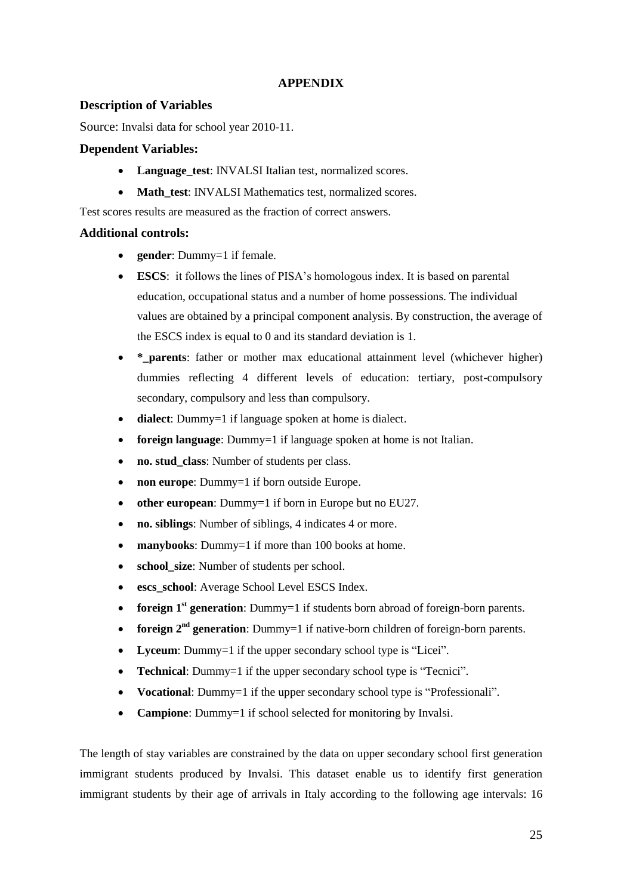### **APPENDIX**

### **Description of Variables**

Source: Invalsi data for school year 2010-11.

#### **Dependent Variables:**

- **Language\_test**: INVALSI Italian test, normalized scores.
- Math test: INVALSI Mathematics test, normalized scores.

Test scores results are measured as the fraction of correct answers.

#### **Additional controls:**

- **gender**: Dummy=1 if female.
- **ESCS**: it follows the lines of PISA's homologous index. It is based on parental education, occupational status and a number of home possessions. The individual values are obtained by a principal component analysis. By construction, the average of the ESCS index is equal to 0 and its standard deviation is 1.
- **\* \*** parents: father or mother max educational attainment level (whichever higher) dummies reflecting 4 different levels of education: tertiary, post-compulsory secondary, compulsory and less than compulsory.
- **dialect**: Dummy=1 if language spoken at home is dialect.
- **foreign language**: Dummy=1 if language spoken at home is not Italian.
- **no. stud\_class**: Number of students per class.
- **non europe**: Dummy=1 if born outside Europe.
- **other european**: Dummy=1 if born in Europe but no EU27.
- **no. siblings**: Number of siblings, 4 indicates 4 or more.
- **manybooks:** Dummy=1 if more than 100 books at home.
- **school size**: Number of students per school.
- **escs\_school**: Average School Level ESCS Index.
- **foreign 1<sup>st</sup> generation**: Dummy=1 if students born abroad of foreign-born parents.
- **foreign 2nd generation**: Dummy=1 if native-born children of foreign-born parents.
- **Lyceum**: Dummy=1 if the upper secondary school type is "Licei".
- **Technical:** Dummy=1 if the upper secondary school type is "Tecnici".
- **Vocational**: Dummy=1 if the upper secondary school type is "Professionali".
- **Campione**: Dummy=1 if school selected for monitoring by Invalsi.

The length of stay variables are constrained by the data on upper secondary school first generation immigrant students produced by Invalsi. This dataset enable us to identify first generation immigrant students by their age of arrivals in Italy according to the following age intervals: 16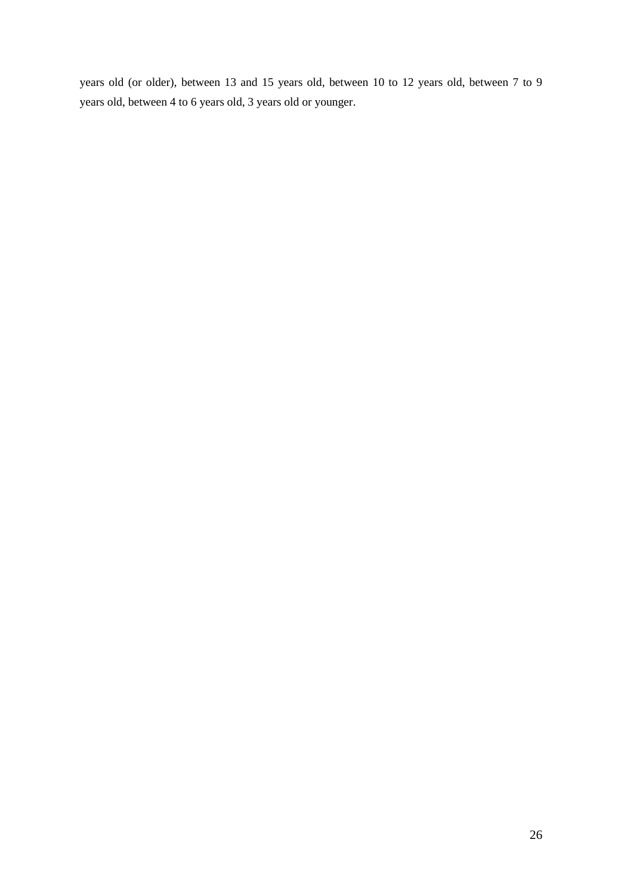years old (or older), between 13 and 15 years old, between 10 to 12 years old, between 7 to 9 years old, between 4 to 6 years old, 3 years old or younger.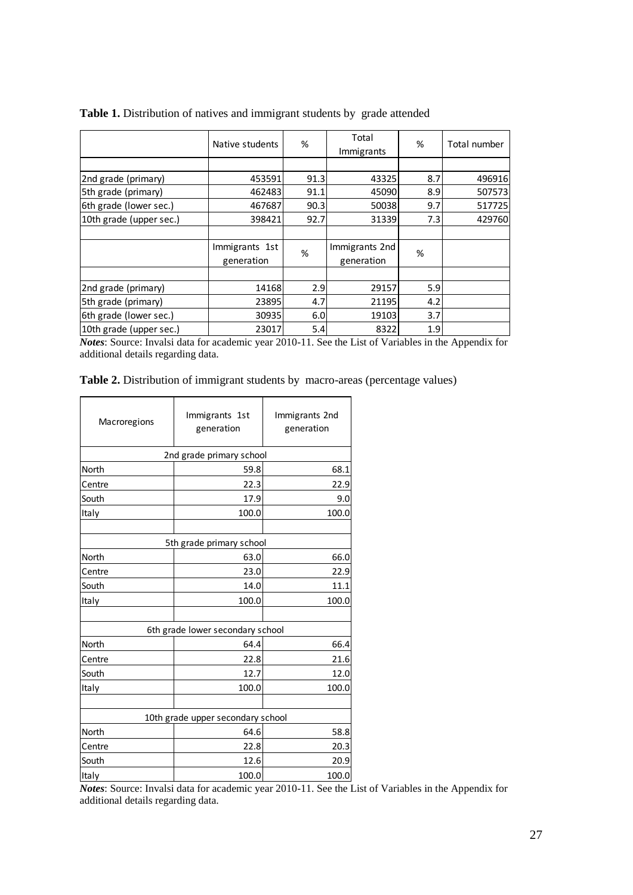|                         | Native students | %    | Total<br>Immigrants | %   | Total number |  |
|-------------------------|-----------------|------|---------------------|-----|--------------|--|
|                         |                 |      |                     |     |              |  |
| 2nd grade (primary)     | 453591          | 91.3 | 43325               | 8.7 | 496916       |  |
| 5th grade (primary)     | 462483          | 91.1 | 45090               | 8.9 | 507573       |  |
| 6th grade (lower sec.)  | 467687          | 90.3 | 50038               | 9.7 | 517725       |  |
| 10th grade (upper sec.) | 398421          | 92.7 | 31339               | 7.3 | 429760       |  |
|                         |                 |      |                     |     |              |  |
|                         | Immigrants 1st  | %    | Immigrants 2nd      | %   |              |  |
|                         | generation      |      | generation          |     |              |  |
|                         |                 |      |                     |     |              |  |
| 2nd grade (primary)     | 14168           | 2.9  | 29157               | 5.9 |              |  |
| 5th grade (primary)     | 23895           | 4.7  | 21195               | 4.2 |              |  |
| 6th grade (lower sec.)  | 30935           | 6.0  | 19103               | 3.7 |              |  |
| 10th grade (upper sec.) | 23017           | 5.4  | 8322                | 1.9 |              |  |

Table 1. Distribution of natives and immigrant students by grade attended

*Notes*: Source: Invalsi data for academic year 2010-11. See the List of Variables in the Appendix for additional details regarding data.

|  |  | Table 2. Distribution of immigrant students by macro-areas (percentage values) |  |
|--|--|--------------------------------------------------------------------------------|--|
|  |  |                                                                                |  |

| Macroregions | Immigrants 1st<br>generation      | Immigrants 2nd<br>generation |  |  |  |
|--------------|-----------------------------------|------------------------------|--|--|--|
|              | 2nd grade primary school          |                              |  |  |  |
| North        | 59.8                              | 68.1                         |  |  |  |
| Centre       | 22.3                              | 22.9                         |  |  |  |
| South        | 17.9                              | 9.0                          |  |  |  |
| Italy        | 100.0                             | 100.0                        |  |  |  |
|              | 5th grade primary school          |                              |  |  |  |
| North        | 63.0                              | 66.0                         |  |  |  |
| Centre       | 23.0                              | 22.9                         |  |  |  |
| South        | 14.0                              | 11.1                         |  |  |  |
| Italy        | 100.0                             | 100.0                        |  |  |  |
|              | 6th grade lower secondary school  |                              |  |  |  |
| North        | 64.4                              | 66.4                         |  |  |  |
| Centre       | 22.8                              | 21.6                         |  |  |  |
| South        | 12.7                              | 12.0                         |  |  |  |
| Italy        | 100.0                             | 100.0                        |  |  |  |
|              | 10th grade upper secondary school |                              |  |  |  |
| North        | 64.6                              | 58.8                         |  |  |  |
| Centre       | 22.8                              | 20.3                         |  |  |  |
| South        | 12.6                              | 20.9                         |  |  |  |
| Italy        | 100.0                             | 100.0                        |  |  |  |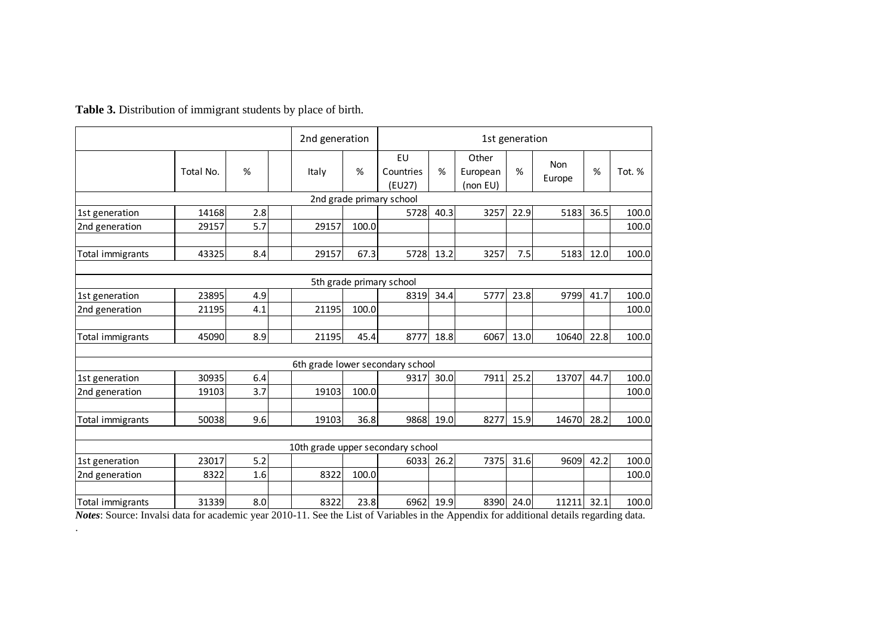**Table 3.** Distribution of immigrant students by place of birth.

.

|                          |                |     |  | 2nd generation |       | 1st generation                    |      |                               |      |                      |      |        |
|--------------------------|----------------|-----|--|----------------|-------|-----------------------------------|------|-------------------------------|------|----------------------|------|--------|
|                          | %<br>Total No. |     |  | Italy          | %     | EU<br>Countries<br>(EU27)         | %    | Other<br>European<br>(non EU) | %    | <b>Non</b><br>Europe | %    | Tot. % |
| 2nd grade primary school |                |     |  |                |       |                                   |      |                               |      |                      |      |        |
| 1st generation           | 14168          | 2.8 |  |                |       | 5728                              | 40.3 | 3257                          | 22.9 | 5183                 | 36.5 | 100.0  |
| 2nd generation           | 29157          | 5.7 |  | 29157          | 100.0 |                                   |      |                               |      |                      |      | 100.0  |
| Total immigrants         | 43325          | 8.4 |  | 29157          | 67.3  | 5728                              | 13.2 | 3257                          | 7.5  | 5183                 | 12.0 | 100.0  |
|                          |                |     |  |                |       | 5th grade primary school          |      |                               |      |                      |      |        |
| 1st generation           | 23895          | 4.9 |  |                |       | 8319                              | 34.4 | 5777                          | 23.8 | 9799                 | 41.7 | 100.0  |
| 2nd generation           | 21195          | 4.1 |  | 21195          | 100.0 |                                   |      |                               |      |                      |      | 100.0  |
| Total immigrants         | 45090          | 8.9 |  | 21195          | 45.4  | 8777                              | 18.8 | 6067                          | 13.0 | 10640                | 22.8 | 100.0  |
|                          |                |     |  |                |       | 6th grade lower secondary school  |      |                               |      |                      |      |        |
| 1st generation           | 30935          | 6.4 |  |                |       | 9317                              | 30.0 | 7911                          | 25.2 | 13707                | 44.7 | 100.0  |
| 2nd generation           | 19103          | 3.7 |  | 19103          | 100.0 |                                   |      |                               |      |                      |      | 100.0  |
| Total immigrants         | 50038          | 9.6 |  | 19103          | 36.8  | 9868                              | 19.0 | 8277                          | 15.9 | 14670                | 28.2 | 100.0  |
|                          |                |     |  |                |       | 10th grade upper secondary school |      |                               |      |                      |      |        |
| 1st generation           | 23017          | 5.2 |  |                |       | 6033                              | 26.2 | 7375                          | 31.6 | 9609                 | 42.2 | 100.0  |
| 2nd generation           | 8322           | 1.6 |  | 8322           | 100.0 |                                   |      |                               |      |                      |      | 100.0  |
| Total immigrants         | 31339          | 8.0 |  | 8322           | 23.8  | 6962                              | 19.9 | 8390                          | 24.0 | 11211                | 32.1 | 100.0  |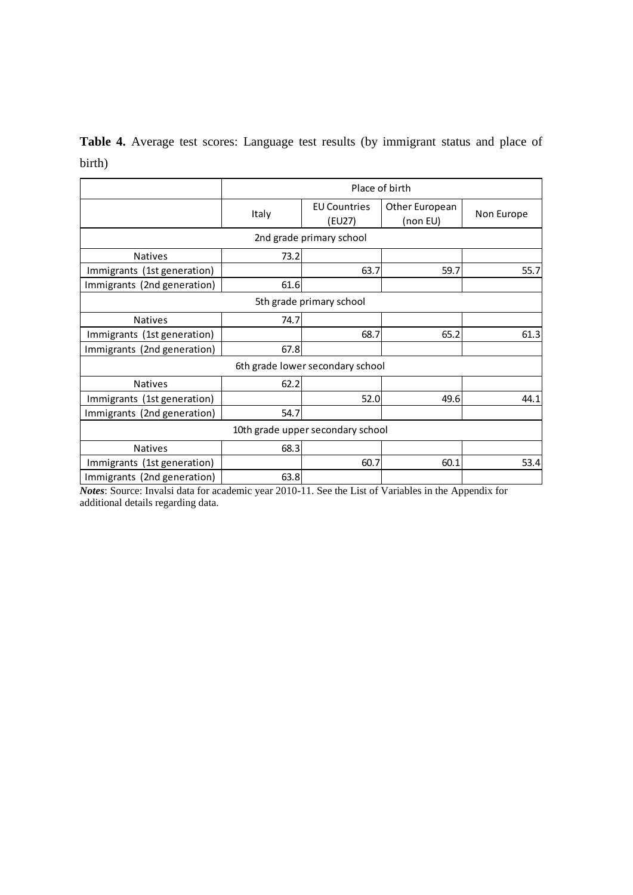**Table 4.** Average test scores: Language test results (by immigrant status and place of birth)

|                             |       | Place of birth                    |                            |            |
|-----------------------------|-------|-----------------------------------|----------------------------|------------|
|                             | Italy | <b>EU Countries</b><br>(EU27)     | Other European<br>(non EU) | Non Europe |
|                             |       | 2nd grade primary school          |                            |            |
| <b>Natives</b>              | 73.2  |                                   |                            |            |
| Immigrants (1st generation) |       | 63.7                              | 59.7                       | 55.7       |
| Immigrants (2nd generation) | 61.6  |                                   |                            |            |
|                             |       |                                   |                            |            |
| <b>Natives</b>              | 74.7  |                                   |                            |            |
| Immigrants (1st generation) |       | 68.7                              | 65.2                       | 61.3       |
| Immigrants (2nd generation) | 67.8  |                                   |                            |            |
|                             |       | 6th grade lower secondary school  |                            |            |
| <b>Natives</b>              | 62.2  |                                   |                            |            |
| Immigrants (1st generation) |       | 52.0                              | 49.6                       | 44.1       |
| Immigrants (2nd generation) | 54.7  |                                   |                            |            |
|                             |       | 10th grade upper secondary school |                            |            |
| <b>Natives</b>              | 68.3  |                                   |                            |            |
| Immigrants (1st generation) |       | 60.7                              | 60.1                       | 53.4       |
| Immigrants (2nd generation) | 63.8  |                                   |                            |            |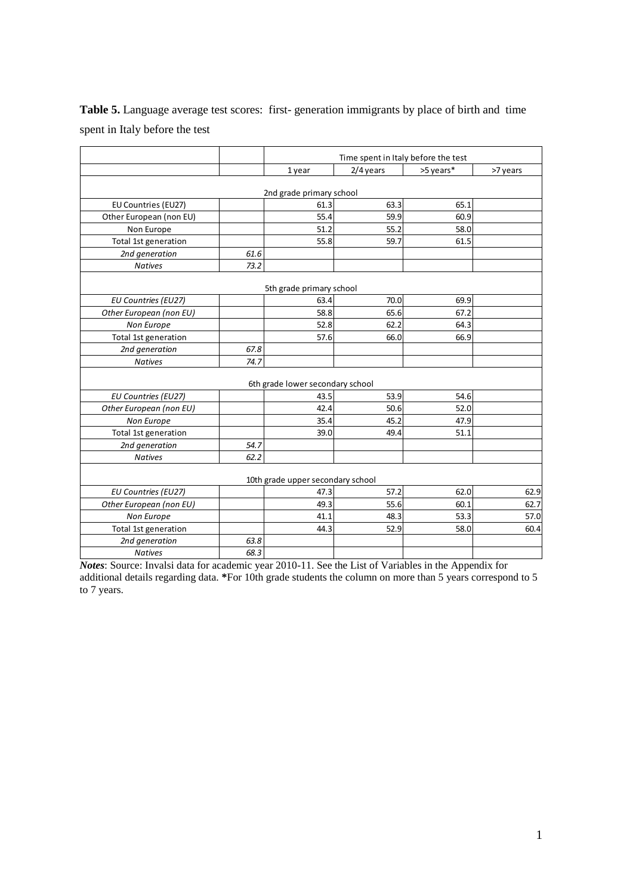Table 5. Language average test scores: first- generation immigrants by place of birth and time spent in Italy before the test

|                         | Time spent in Italy before the test |                                   |             |           |          |  |  |  |  |  |
|-------------------------|-------------------------------------|-----------------------------------|-------------|-----------|----------|--|--|--|--|--|
|                         |                                     | 1 year                            | $2/4$ years | >5 years* | >7 years |  |  |  |  |  |
|                         |                                     |                                   |             |           |          |  |  |  |  |  |
|                         |                                     | 2nd grade primary school          |             |           |          |  |  |  |  |  |
| EU Countries (EU27)     |                                     | 61.3                              | 63.3        | 65.1      |          |  |  |  |  |  |
| Other European (non EU) |                                     | 55.4                              | 59.9        | 60.9      |          |  |  |  |  |  |
| Non Europe              |                                     | 51.2                              | 55.2        | 58.0      |          |  |  |  |  |  |
| Total 1st generation    |                                     | 55.8                              | 59.7        | 61.5      |          |  |  |  |  |  |
| 2nd generation          | 61.6                                |                                   |             |           |          |  |  |  |  |  |
| <b>Natives</b>          | 73.2                                |                                   |             |           |          |  |  |  |  |  |
|                         |                                     | 5th grade primary school          |             |           |          |  |  |  |  |  |
| EU Countries (EU27)     |                                     | 63.4                              | 70.0        | 69.9      |          |  |  |  |  |  |
| Other European (non EU) |                                     | 58.8                              | 65.6        | 67.2      |          |  |  |  |  |  |
| Non Europe              |                                     | 52.8                              | 62.2        | 64.3      |          |  |  |  |  |  |
| Total 1st generation    |                                     | 57.6                              | 66.0        | 66.9      |          |  |  |  |  |  |
| 2nd generation          | 67.8                                |                                   |             |           |          |  |  |  |  |  |
| <b>Natives</b>          | 74.7                                |                                   |             |           |          |  |  |  |  |  |
|                         |                                     |                                   |             |           |          |  |  |  |  |  |
|                         |                                     | 6th grade lower secondary school  |             |           |          |  |  |  |  |  |
| EU Countries (EU27)     |                                     | 43.5                              | 53.9        | 54.6      |          |  |  |  |  |  |
| Other European (non EU) |                                     | 42.4                              | 50.6        | 52.0      |          |  |  |  |  |  |
| Non Europe              |                                     | 35.4                              | 45.2        | 47.9      |          |  |  |  |  |  |
| Total 1st generation    |                                     | 39.0                              | 49.4        | 51.1      |          |  |  |  |  |  |
| 2nd generation          | 54.7                                |                                   |             |           |          |  |  |  |  |  |
| <b>Natives</b>          | 62.2                                |                                   |             |           |          |  |  |  |  |  |
|                         |                                     |                                   |             |           |          |  |  |  |  |  |
|                         |                                     | 10th grade upper secondary school |             |           |          |  |  |  |  |  |
| EU Countries (EU27)     |                                     | 47.3                              | 57.2        | 62.0      | 62.9     |  |  |  |  |  |
| Other European (non EU) |                                     | 49.3                              | 55.6        | 60.1      | 62.7     |  |  |  |  |  |
| Non Europe              |                                     | 41.1                              | 48.3        | 53.3      | 57.0     |  |  |  |  |  |
| Total 1st generation    |                                     | 44.3                              | 52.9        | 58.0      | 60.4     |  |  |  |  |  |
| 2nd generation          | 63.8                                |                                   |             |           |          |  |  |  |  |  |
| <b>Natives</b>          | 68.3                                |                                   |             |           |          |  |  |  |  |  |

*Notes*: Source: Invalsi data for academic year 2010-11. See the List of Variables in the Appendix for additional details regarding data. **\***For 10th grade students the column on more than 5 years correspond to 5 to 7 years.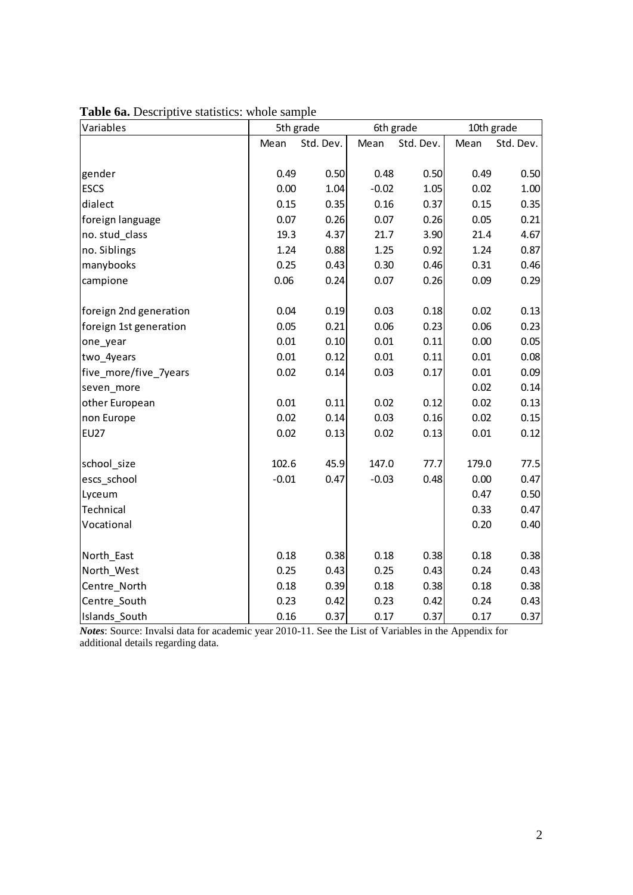| Variables              |         | 5th grade |         | 6th grade |       | 10th grade |  |  |
|------------------------|---------|-----------|---------|-----------|-------|------------|--|--|
|                        | Mean    | Std. Dev. | Mean    | Std. Dev. | Mean  | Std. Dev.  |  |  |
|                        |         |           |         |           |       |            |  |  |
| gender                 | 0.49    | 0.50      | 0.48    | 0.50      | 0.49  | 0.50       |  |  |
| <b>ESCS</b>            | 0.00    | 1.04      | $-0.02$ | 1.05      | 0.02  | 1.00       |  |  |
| dialect                | 0.15    | 0.35      | 0.16    | 0.37      | 0.15  | 0.35       |  |  |
| foreign language       | 0.07    | 0.26      | 0.07    | 0.26      | 0.05  | 0.21       |  |  |
| no. stud_class         | 19.3    | 4.37      | 21.7    | 3.90      | 21.4  | 4.67       |  |  |
| no. Siblings           | 1.24    | 0.88      | 1.25    | 0.92      | 1.24  | 0.87       |  |  |
| manybooks              | 0.25    | 0.43      | 0.30    | 0.46      | 0.31  | 0.46       |  |  |
| campione               | 0.06    | 0.24      | 0.07    | 0.26      | 0.09  | 0.29       |  |  |
|                        |         |           |         |           |       |            |  |  |
| foreign 2nd generation | 0.04    | 0.19      | 0.03    | 0.18      | 0.02  | 0.13       |  |  |
| foreign 1st generation | 0.05    | 0.21      | 0.06    | 0.23      | 0.06  | 0.23       |  |  |
| one_year               | 0.01    | 0.10      | 0.01    | 0.11      | 0.00  | 0.05       |  |  |
| two_4years             | 0.01    | 0.12      | 0.01    | 0.11      | 0.01  | 0.08       |  |  |
| five_more/five_7years  | 0.02    | 0.14      | 0.03    | 0.17      | 0.01  | 0.09       |  |  |
| seven_more             |         |           |         |           | 0.02  | 0.14       |  |  |
| other European         | 0.01    | 0.11      | 0.02    | 0.12      | 0.02  | 0.13       |  |  |
| non Europe             | 0.02    | 0.14      | 0.03    | 0.16      | 0.02  | 0.15       |  |  |
| <b>EU27</b>            | 0.02    | 0.13      | 0.02    | 0.13      | 0.01  | 0.12       |  |  |
|                        |         |           |         |           |       |            |  |  |
| school_size            | 102.6   | 45.9      | 147.0   | 77.7      | 179.0 | 77.5       |  |  |
| escs_school            | $-0.01$ | 0.47      | $-0.03$ | 0.48      | 0.00  | 0.47       |  |  |
| Lyceum                 |         |           |         |           | 0.47  | 0.50       |  |  |
| Technical              |         |           |         |           | 0.33  | 0.47       |  |  |
| Vocational             |         |           |         |           | 0.20  | 0.40       |  |  |
| North_East             | 0.18    | 0.38      | 0.18    | 0.38      | 0.18  | 0.38       |  |  |
| North_West             | 0.25    | 0.43      | 0.25    | 0.43      | 0.24  | 0.43       |  |  |
| Centre_North           | 0.18    | 0.39      | 0.18    | 0.38      | 0.18  | 0.38       |  |  |
| Centre_South           | 0.23    | 0.42      | 0.23    | 0.42      | 0.24  | 0.43       |  |  |
| Islands_South          | 0.16    | 0.37      | 0.17    | 0.37      | 0.17  | 0.37       |  |  |

**Table 6a.** Descriptive statistics: whole sample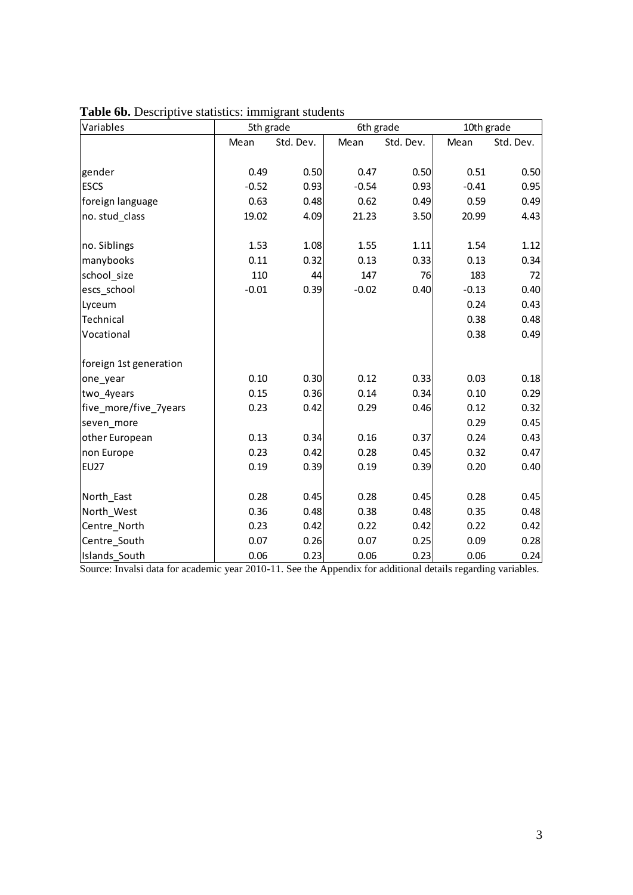| Variables              | 5th grade |           | 6th grade |           | 10th grade |           |
|------------------------|-----------|-----------|-----------|-----------|------------|-----------|
|                        | Mean      | Std. Dev. | Mean      | Std. Dev. | Mean       | Std. Dev. |
|                        |           |           |           |           |            |           |
| gender                 | 0.49      | 0.50      | 0.47      | 0.50      | 0.51       | 0.50      |
| <b>ESCS</b>            | $-0.52$   | 0.93      | $-0.54$   | 0.93      | $-0.41$    | 0.95      |
| foreign language       | 0.63      | 0.48      | 0.62      | 0.49      | 0.59       | 0.49      |
| no. stud_class         | 19.02     | 4.09      | 21.23     | 3.50      | 20.99      | 4.43      |
| no. Siblings           | 1.53      | 1.08      | 1.55      | 1.11      | 1.54       | 1.12      |
| manybooks              | 0.11      | 0.32      | 0.13      | 0.33      | 0.13       | 0.34      |
| school_size            | 110       | 44        | 147       | 76        | 183        | 72        |
| escs_school            | $-0.01$   | 0.39      | $-0.02$   | 0.40      | $-0.13$    | 0.40      |
| Lyceum                 |           |           |           |           | 0.24       | 0.43      |
| Technical              |           |           |           |           | 0.38       | 0.48      |
| Vocational             |           |           |           |           | 0.38       | 0.49      |
| foreign 1st generation |           |           |           |           |            |           |
| one_year               | 0.10      | 0.30      | 0.12      | 0.33      | 0.03       | 0.18      |
| two_4years             | 0.15      | 0.36      | 0.14      | 0.34      | 0.10       | 0.29      |
| five_more/five_7years  | 0.23      | 0.42      | 0.29      | 0.46      | 0.12       | 0.32      |
| seven_more             |           |           |           |           | 0.29       | 0.45      |
| other European         | 0.13      | 0.34      | 0.16      | 0.37      | 0.24       | 0.43      |
| non Europe             | 0.23      | 0.42      | 0.28      | 0.45      | 0.32       | 0.47      |
| <b>EU27</b>            | 0.19      | 0.39      | 0.19      | 0.39      | 0.20       | 0.40      |
|                        |           |           |           |           |            |           |
| North_East             | 0.28      | 0.45      | 0.28      | 0.45      | 0.28       | 0.45      |
| North West             | 0.36      | 0.48      | 0.38      | 0.48      | 0.35       | 0.48      |
| Centre_North           | 0.23      | 0.42      | 0.22      | 0.42      | 0.22       | 0.42      |
| Centre_South           | 0.07      | 0.26      | 0.07      | 0.25      | 0.09       | 0.28      |
| Islands_South          | 0.06      | 0.23      | 0.06      | 0.23      | 0.06       | 0.24      |

**Table 6b.** Descriptive statistics: immigrant students

Source: Invalsi data for academic year 2010-11. See the Appendix for additional details regarding variables.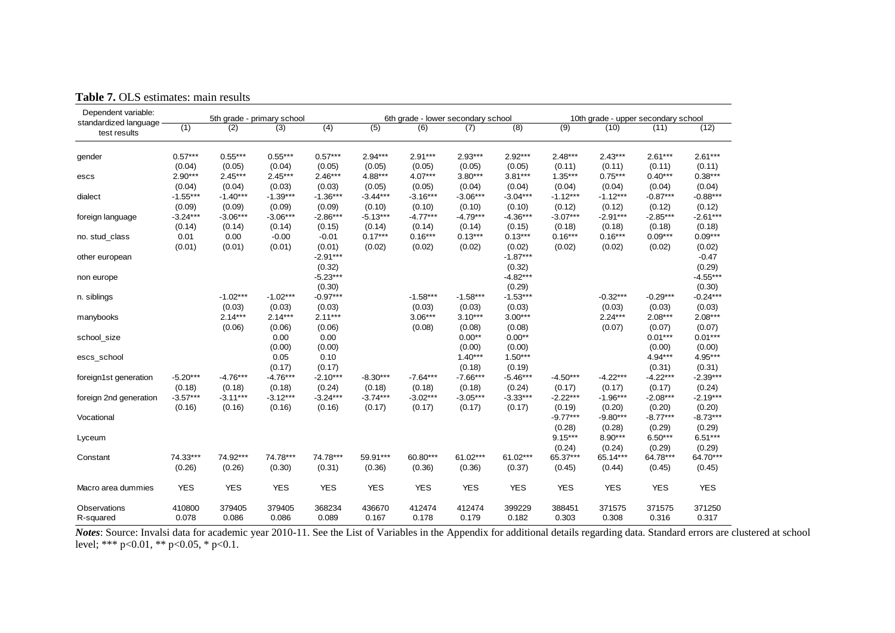| Table 7. OLS estimates: main results |  |  |  |
|--------------------------------------|--|--|--|
|--------------------------------------|--|--|--|

| Dependent variable:    |            |                                   |            |            |            | 6th grade - lower secondary school |            |            |                             |            | 10th grade - upper secondary school |            |  |  |
|------------------------|------------|-----------------------------------|------------|------------|------------|------------------------------------|------------|------------|-----------------------------|------------|-------------------------------------|------------|--|--|
| standardized language  | (1)        | 5th grade - primary school<br>(2) | (3)        | (4)        | (5)        | (6)                                | (7)        | (8)        | (9)<br>(10)<br>(11)<br>(12) |            |                                     |            |  |  |
| test results           |            |                                   |            |            |            |                                    |            |            |                             |            |                                     |            |  |  |
| gender                 | $0.57***$  | $0.55***$                         | $0.55***$  | $0.57***$  | $2.94***$  | $2.91***$                          | $2.93***$  | $2.92***$  | $2.48***$                   | $2.43***$  | $2.61***$                           | $2.61***$  |  |  |
|                        | (0.04)     | (0.05)                            | (0.04)     | (0.05)     | (0.05)     | (0.05)                             | (0.05)     | (0.05)     | (0.11)                      | (0.11)     | (0.11)                              | (0.11)     |  |  |
| escs                   | $2.90***$  | $2.45***$                         | $2.45***$  | $2.46***$  | 4.88***    | $4.07***$                          | $3.80***$  | $3.81***$  | $1.35***$                   | $0.75***$  | $0.40***$                           | $0.38***$  |  |  |
|                        | (0.04)     | (0.04)                            | (0.03)     | (0.03)     | (0.05)     | (0.05)                             | (0.04)     | (0.04)     | (0.04)                      | (0.04)     | (0.04)                              | (0.04)     |  |  |
| dialect                | $-1.55***$ | $-1.40***$                        | $-1.39***$ | $-1.36***$ | $-3.44***$ | $-3.16***$                         | $-3.06***$ | $-3.04***$ | $-1.12***$                  | $-1.12***$ | $-0.87***$                          | $-0.88***$ |  |  |
|                        | (0.09)     | (0.09)                            | (0.09)     | (0.09)     | (0.10)     | (0.10)                             | (0.10)     | (0.10)     | (0.12)                      | (0.12)     | (0.12)                              | (0.12)     |  |  |
| foreign language       | $-3.24***$ | $-3.06***$                        | $-3.06***$ | $-2.86***$ | $-5.13***$ | $-4.77***$                         | $-4.79***$ | $-4.36***$ | $-3.07***$                  | $-2.91***$ | $-2.85***$                          | $-2.61***$ |  |  |
|                        | (0.14)     | (0.14)                            | (0.14)     | (0.15)     | (0.14)     | (0.14)                             | (0.14)     | (0.15)     | (0.18)                      | (0.18)     | (0.18)                              | (0.18)     |  |  |
| no. stud_class         | 0.01       | 0.00                              | $-0.00$    | $-0.01$    | $0.17***$  | $0.16***$                          | $0.13***$  | $0.13***$  | $0.16***$                   | $0.16***$  | $0.09***$                           | $0.09***$  |  |  |
|                        | (0.01)     | (0.01)                            | (0.01)     | (0.01)     | (0.02)     | (0.02)                             | (0.02)     | (0.02)     | (0.02)                      | (0.02)     | (0.02)                              | (0.02)     |  |  |
| other european         |            |                                   |            | $-2.91***$ |            |                                    |            | $-1.87***$ |                             |            |                                     | $-0.47$    |  |  |
|                        |            |                                   |            | (0.32)     |            |                                    |            | (0.32)     |                             |            |                                     | (0.29)     |  |  |
| non europe             |            |                                   |            | $-5.23***$ |            |                                    |            | $-4.82***$ |                             |            |                                     | $-4.55***$ |  |  |
|                        |            |                                   |            | (0.30)     |            |                                    |            | (0.29)     |                             |            |                                     | (0.30)     |  |  |
| n. siblings            |            | $-1.02***$                        | $-1.02***$ | $-0.97***$ |            | $-1.58***$                         | $-1.58***$ | $-1.53***$ |                             | $-0.32***$ | $-0.29***$                          | $-0.24***$ |  |  |
|                        |            | (0.03)                            | (0.03)     | (0.03)     |            | (0.03)                             | (0.03)     | (0.03)     |                             | (0.03)     | (0.03)                              | (0.03)     |  |  |
| manybooks              |            | $2.14***$                         | $2.14***$  | $2.11***$  |            | $3.06***$                          | $3.10***$  | $3.00***$  |                             | $2.24***$  | $2.08***$                           | $2.08***$  |  |  |
|                        |            | (0.06)                            | (0.06)     | (0.06)     |            | (0.08)                             | (0.08)     | (0.08)     |                             | (0.07)     | (0.07)                              | (0.07)     |  |  |
| school_size            |            |                                   | 0.00       | 0.00       |            |                                    | $0.00**$   | $0.00**$   |                             |            | $0.01***$                           | $0.01***$  |  |  |
|                        |            |                                   | (0.00)     | (0.00)     |            |                                    | (0.00)     | (0.00)     |                             |            | (0.00)                              | (0.00)     |  |  |
| escs_school            |            |                                   | 0.05       | 0.10       |            |                                    | $1.40***$  | $1.50***$  |                             |            | $4.94***$                           | 4.95***    |  |  |
|                        |            |                                   | (0.17)     | (0.17)     |            |                                    | (0.18)     | (0.19)     |                             |            | (0.31)                              | (0.31)     |  |  |
| foreign1st generation  | $-5.20***$ | $-4.76***$                        | $-4.76***$ | $-2.10***$ | $-8.30***$ | $-7.64***$                         | $-7.66***$ | $-5.46***$ | $-4.50***$                  | $-4.22***$ | $-4.22***$                          | $-2.39***$ |  |  |
|                        | (0.18)     | (0.18)                            | (0.18)     | (0.24)     | (0.18)     | (0.18)                             | (0.18)     | (0.24)     | (0.17)                      | (0.17)     | (0.17)                              | (0.24)     |  |  |
| foreign 2nd generation | $-3.57***$ | $-3.11***$                        | $-3.12***$ | $-3.24***$ | $-3.74***$ | $-3.02***$                         | $-3.05***$ | $-3.33***$ | $-2.22***$                  | $-1.96***$ | $-2.08***$                          | $-2.19***$ |  |  |
|                        | (0.16)     | (0.16)                            | (0.16)     | (0.16)     | (0.17)     | (0.17)                             | (0.17)     | (0.17)     | (0.19)                      | (0.20)     | (0.20)                              | (0.20)     |  |  |
| Vocational             |            |                                   |            |            |            |                                    |            |            | $-9.77***$                  | $-9.80***$ | $-8.77***$                          | $-8.73***$ |  |  |
|                        |            |                                   |            |            |            |                                    |            |            | (0.28)                      | (0.28)     | (0.29)                              | (0.29)     |  |  |
| Lyceum                 |            |                                   |            |            |            |                                    |            |            | $9.15***$                   | 8.90***    | $6.50***$                           | $6.51***$  |  |  |
|                        |            |                                   |            |            |            |                                    |            |            | (0.24)                      | (0.24)     | (0.29)                              | (0.29)     |  |  |
| Constant               | 74.33***   | 74.92***                          | 74.78***   | 74.78***   | 59.91***   | 60.80***                           | 61.02***   | $61.02***$ | 65.37***                    | 65.14***   | 64.78***                            | 64.70***   |  |  |
|                        | (0.26)     | (0.26)                            | (0.30)     | (0.31)     | (0.36)     | (0.36)                             | (0.36)     | (0.37)     | (0.45)                      | (0.44)     | (0.45)                              | (0.45)     |  |  |
| Macro area dummies     | <b>YES</b> | <b>YES</b>                        | <b>YES</b> | <b>YES</b> | <b>YES</b> | <b>YES</b>                         | <b>YES</b> | <b>YES</b> | <b>YES</b>                  | <b>YES</b> | <b>YES</b>                          | <b>YES</b> |  |  |
| Observations           | 410800     | 379405                            | 379405     | 368234     | 436670     | 412474                             | 412474     | 399229     | 388451                      | 371575     | 371575                              | 371250     |  |  |
| R-squared              | 0.078      | 0.086                             | 0.086      | 0.089      | 0.167      | 0.178                              | 0.179      | 0.182      | 0.303                       | 0.308      | 0.316                               | 0.317      |  |  |

*Notes*: Source: Invalsi data for academic year 2010-11. See the List of Variables in the Appendix for additional details regarding data. Standard errors are clustered at school level; \*\*\* p<0.01, \*\* p<0.05, \* p<0.1.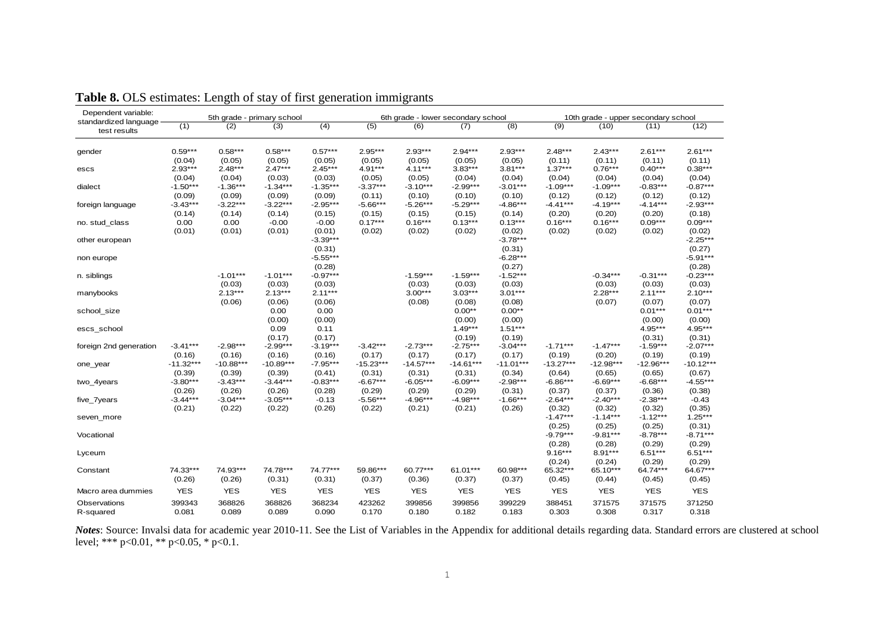| Dependent variable:    |             |             | 5th grade - primary school |                  |             | 6th grade - lower secondary school |             |             |             | 10th grade - upper secondary school |             |             |  |
|------------------------|-------------|-------------|----------------------------|------------------|-------------|------------------------------------|-------------|-------------|-------------|-------------------------------------|-------------|-------------|--|
| standardized language  | (1)         | (2)         | (3)                        | $\overline{(4)}$ | (5)         | (6)                                | (7)         | (8)         | (9)         | (10)                                | (11)        | (12)        |  |
| test results           |             |             |                            |                  |             |                                    |             |             |             |                                     |             |             |  |
|                        |             |             |                            |                  |             |                                    |             |             |             |                                     |             |             |  |
| gender                 | $0.59***$   | $0.58***$   | $0.58***$                  | $0.57***$        | $2.95***$   | $2.93***$                          | $2.94***$   | $2.93***$   | $2.48***$   | $2.43***$                           | $2.61***$   | $2.61***$   |  |
|                        | (0.04)      | (0.05)      | (0.05)                     | (0.05)           | (0.05)      | (0.05)                             | (0.05)      | (0.05)      | (0.11)      | (0.11)                              | (0.11)      | (0.11)      |  |
| escs                   | $2.93***$   | $2.48***$   | $2.47***$                  | $2.45***$        | $4.91***$   | $4.11***$                          | $3.83***$   | $3.81***$   | $1.37***$   | $0.76***$                           | $0.40***$   | $0.38***$   |  |
|                        | (0.04)      | (0.04)      | (0.03)                     | (0.03)           | (0.05)      | (0.05)                             | (0.04)      | (0.04)      | (0.04)      | (0.04)                              | (0.04)      | (0.04)      |  |
| dialect                | $-1.50***$  | $-1.36***$  | $-1.34***$                 | $-1.35***$       | $-3.37***$  | $-3.10***$                         | -2.99***    | $-3.01***$  | $-1.09***$  | $-1.09***$                          | $-0.83***$  | $-0.87***$  |  |
|                        | (0.09)      | (0.09)      | (0.09)                     | (0.09)           | (0.11)      | (0.10)                             | (0.10)      | (0.10)      | (0.12)      | (0.12)                              | (0.12)      | (0.12)      |  |
| foreign language       | $-3.43***$  | $-3.22***$  | $-3.22***$                 | $-2.95***$       | $-5.66***$  | $-5.26***$                         | $-5.29***$  | $-4.86***$  | $-4.41***$  | $-4.19***$                          | $-4.14***$  | $-2.93***$  |  |
|                        | (0.14)      | (0.14)      | (0.14)                     | (0.15)           | (0.15)      | (0.15)                             | (0.15)      | (0.14)      | (0.20)      | (0.20)                              | (0.20)      | (0.18)      |  |
| no. stud class         | 0.00        | 0.00        | $-0.00$                    | $-0.00$          | $0.17***$   | $0.16***$                          | $0.13***$   | $0.13***$   | $0.16***$   | $0.16***$                           | $0.09***$   | $0.09***$   |  |
|                        | (0.01)      | (0.01)      | (0.01)                     | (0.01)           | (0.02)      | (0.02)                             | (0.02)      | (0.02)      | (0.02)      | (0.02)                              | (0.02)      | (0.02)      |  |
| other european         |             |             |                            | $-3.39***$       |             |                                    |             | $-3.78***$  |             |                                     |             | $-2.25***$  |  |
|                        |             |             |                            | (0.31)           |             |                                    |             | (0.31)      |             |                                     |             | (0.27)      |  |
| non europe             |             |             |                            | $-5.55***$       |             |                                    |             | $-6.28***$  |             |                                     |             | $-5.91***$  |  |
|                        |             |             |                            | (0.28)           |             |                                    |             | (0.27)      |             |                                     |             | (0.28)      |  |
| n. siblings            |             | $-1.01***$  | $-1.01***$                 | $-0.97***$       |             | $-1.59***$                         | $-1.59***$  | $-1.52***$  |             | $-0.34***$                          | $-0.31***$  | $-0.23***$  |  |
|                        |             | (0.03)      | (0.03)                     | (0.03)           |             | (0.03)                             | (0.03)      | (0.03)      |             | (0.03)                              | (0.03)      | (0.03)      |  |
| manybooks              |             | $2.13***$   | $2.13***$                  | $2.11***$        |             | $3.00***$                          | $3.03***$   | $3.01***$   |             | $2.28***$                           | $2.11***$   | $2.10***$   |  |
|                        |             | (0.06)      | (0.06)                     | (0.06)           |             | (0.08)                             | (0.08)      | (0.08)      |             | (0.07)                              | (0.07)      | (0.07)      |  |
| school_size            |             |             | 0.00                       | 0.00             |             |                                    | $0.00**$    | $0.00**$    |             |                                     | $0.01***$   | $0.01***$   |  |
|                        |             |             | (0.00)                     | (0.00)           |             |                                    | (0.00)      | (0.00)      |             |                                     | (0.00)      | (0.00)      |  |
| escs_school            |             |             | 0.09                       | 0.11             |             |                                    | $1.49***$   | $1.51***$   |             |                                     | $4.95***$   | $4.95***$   |  |
|                        |             |             | (0.17)                     | (0.17)           |             |                                    | (0.19)      | (0.19)      |             |                                     | (0.31)      | (0.31)      |  |
| foreign 2nd generation | $-3.41***$  | $-2.98***$  | $-2.99***$                 | $-3.19***$       | $-3.42***$  | $-2.73***$                         | $-2.75***$  | $-3.04***$  | $-1.71***$  | $-1.47***$                          | $-1.59***$  | $-2.07***$  |  |
|                        | (0.16)      | (0.16)      | (0.16)                     | (0.16)           | (0.17)      | (0.17)                             | (0.17)      | (0.17)      | (0.19)      | (0.20)                              | (0.19)      | (0.19)      |  |
| one_year               | $-11.32***$ | $-10.88***$ | $-10.89***$                | $-7.95***$       | $-15.23***$ | $-14.57***$                        | $-14.61***$ | $-11.01***$ | $-13.27***$ | $-12.98***$                         | $-12.96***$ | $-10.12***$ |  |
|                        | (0.39)      | (0.39)      | (0.39)                     | (0.41)           | (0.31)      | (0.31)                             | (0.31)      | (0.34)      | (0.64)      | (0.65)                              | (0.65)      | (0.67)      |  |
| two_4years             | $-3.80***$  | $-3.43***$  | $-3.44***$                 | $-0.83***$       | $-6.67***$  | $-6.05***$                         | $-6.09***$  | $-2.98***$  | $-6.86***$  | $-6.69***$                          | $-6.68***$  | $-4.55***$  |  |
|                        | (0.26)      | (0.26)      | (0.26)                     | (0.28)           | (0.29)      | (0.29)                             | (0.29)      | (0.31)      | (0.37)      | (0.37)                              | (0.36)      | (0.38)      |  |
| five_7years            | $-3.44***$  | $-3.04***$  | $-3.05***$                 | $-0.13$          | $-5.56***$  | $-4.96***$                         | $-4.98***$  | $-1.66***$  | $-2.64***$  | $-2.40***$                          | $-2.38***$  | $-0.43$     |  |
|                        | (0.21)      | (0.22)      | (0.22)                     | (0.26)           | (0.22)      | (0.21)                             | (0.21)      | (0.26)      | (0.32)      | (0.32)                              | (0.32)      | (0.35)      |  |
| seven more             |             |             |                            |                  |             |                                    |             |             | $-1.47***$  | $-1.14***$                          | $-1.12***$  | $1.25***$   |  |
|                        |             |             |                            |                  |             |                                    |             |             | (0.25)      | (0.25)                              | (0.25)      | (0.31)      |  |
| Vocational             |             |             |                            |                  |             |                                    |             |             | $-9.79***$  | $-9.81***$                          | $-8.78***$  | $-8.71***$  |  |
|                        |             |             |                            |                  |             |                                    |             |             | (0.28)      | (0.28)                              | (0.29)      | (0.29)      |  |
| Lyceum                 |             |             |                            |                  |             |                                    |             |             | $9.16***$   | $8.91***$                           | $6.51***$   | $6.51***$   |  |
|                        |             |             |                            |                  |             |                                    |             |             | (0.24)      | (0.24)                              | (0.29)      | (0.29)      |  |
| Constant               | 74.33***    | 74.93***    | 74.78***                   | 74.77***         | 59.86***    | 60.77***                           | 61.01***    | 60.98***    | 65.32***    | 65.10***                            | 64.74***    | 64.67***    |  |
|                        | (0.26)      | (0.26)      | (0.31)                     | (0.31)           | (0.37)      | (0.36)                             | (0.37)      | (0.37)      | (0.45)      | (0.44)                              | (0.45)      | (0.45)      |  |
|                        |             |             |                            |                  |             |                                    |             |             |             |                                     |             |             |  |
| Macro area dummies     | <b>YES</b>  | <b>YES</b>  | <b>YES</b>                 | <b>YES</b>       | <b>YES</b>  | <b>YES</b>                         | <b>YES</b>  | <b>YES</b>  | <b>YES</b>  | <b>YES</b>                          | <b>YES</b>  | <b>YES</b>  |  |
| Observations           | 399343      | 368826      | 368826                     | 368234           | 423262      | 399856                             | 399856      | 399229      | 388451      | 371575                              | 371575      | 371250      |  |
| R-squared              | 0.081       | 0.089       | 0.089                      | 0.090            | 0.170       | 0.180                              | 0.182       | 0.183       | 0.303       | 0.308                               | 0.317       | 0.318       |  |

**Table 8.** OLS estimates: Length of stay of first generation immigrants

*Notes*: Source: Invalsi data for academic year 2010-11. See the List of Variables in the Appendix for additional details regarding data. Standard errors are clustered at school level; \*\*\* p<0.01, \*\* p<0.05, \* p<0.1.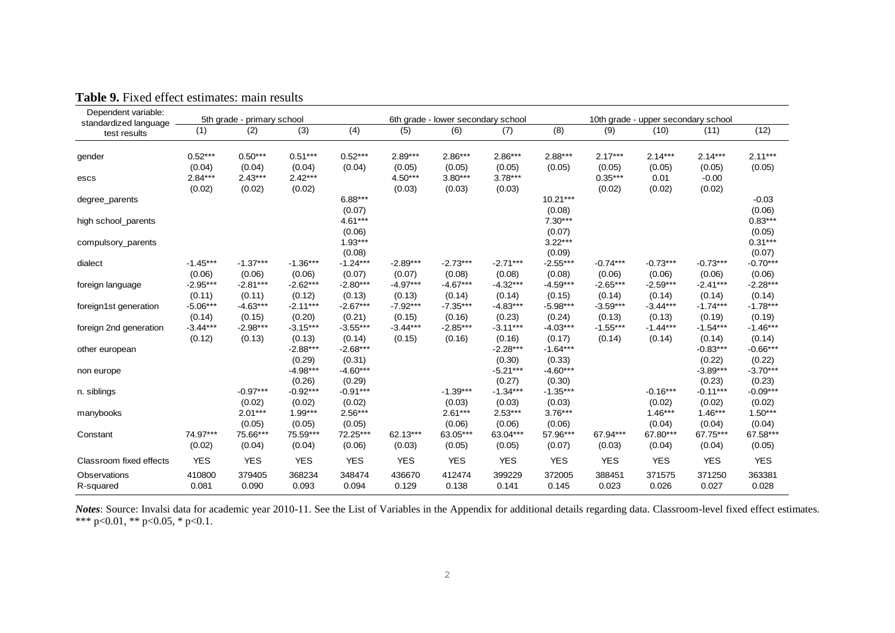| Dependent variable:<br>5th grade - primary school<br>standardized language |            |            |                      |                      |            | 6th grade - lower secondary school |                      | 10th grade - upper secondary school |            |            |                      |                      |  |
|----------------------------------------------------------------------------|------------|------------|----------------------|----------------------|------------|------------------------------------|----------------------|-------------------------------------|------------|------------|----------------------|----------------------|--|
| test results                                                               | (1)        | (2)        | (3)                  | (4)                  | (5)        | (6)                                | (7)                  | (8)                                 | (9)        | (10)       | (11)                 | (12)                 |  |
| gender                                                                     | $0.52***$  | $0.50***$  | $0.51***$            | $0.52***$            | $2.89***$  | $2.86***$                          | $2.86***$            | $2.88***$                           | $2.17***$  | $2.14***$  | $2.14***$            | $2.11***$            |  |
|                                                                            | (0.04)     | (0.04)     | (0.04)               | (0.04)               | (0.05)     | (0.05)                             | (0.05)               | (0.05)                              | (0.05)     | (0.05)     | (0.05)               | (0.05)               |  |
| escs                                                                       | $2.84***$  | $2.43***$  | $2.42***$            |                      | $4.50***$  | $3.80***$                          | $3.78***$            |                                     | $0.35***$  | 0.01       | $-0.00$              |                      |  |
|                                                                            | (0.02)     | (0.02)     | (0.02)               |                      | (0.03)     | (0.03)                             | (0.03)               |                                     | (0.02)     | (0.02)     | (0.02)               |                      |  |
| degree_parents                                                             |            |            |                      | $6.88***$            |            |                                    |                      | $10.21***$                          |            |            |                      | $-0.03$              |  |
|                                                                            |            |            |                      | (0.07)               |            |                                    |                      | (0.08)                              |            |            |                      | (0.06)               |  |
| high school_parents                                                        |            |            |                      | $4.61***$            |            |                                    |                      | $7.30***$                           |            |            |                      | $0.83***$            |  |
|                                                                            |            |            |                      | (0.06)<br>$1.93***$  |            |                                    |                      | (0.07)<br>$3.22***$                 |            |            |                      | (0.05)<br>$0.31***$  |  |
| compulsory_parents                                                         |            |            |                      | (0.08)               |            |                                    |                      | (0.09)                              |            |            |                      | (0.07)               |  |
| dialect                                                                    | $-1.45***$ | $-1.37***$ | $-1.36***$           | $-1.24***$           | $-2.89***$ | $-2.73***$                         | $-2.71***$           | $-2.55***$                          | $-0.74***$ | $-0.73***$ | $-0.73***$           | $-0.70***$           |  |
|                                                                            | (0.06)     | (0.06)     | (0.06)               | (0.07)               | (0.07)     | (0.08)                             | (0.08)               | (0.08)                              | (0.06)     | (0.06)     | (0.06)               | (0.06)               |  |
| foreign language                                                           | $-2.95***$ | $-2.81***$ | $-2.62***$           | $-2.80***$           | $-4.97***$ | $-4.67***$                         | $-4.32***$           | $-4.59***$                          | $-2.65***$ | $-2.59***$ | $-2.41***$           | $-2.28***$           |  |
|                                                                            | (0.11)     | (0.11)     | (0.12)               | (0.13)               | (0.13)     | (0.14)                             | (0.14)               | (0.15)                              | (0.14)     | (0.14)     | (0.14)               | (0.14)               |  |
| foreign1st generation                                                      | $-5.06***$ | $-4.63***$ | $-2.11***$           | $-2.67***$           | $-7.92***$ | $-7.35***$                         | $-4.83***$           | $-5.98***$                          | $-3.59***$ | $-3.44***$ | $-1.74***$           | $-1.78***$           |  |
|                                                                            | (0.14)     | (0.15)     | (0.20)               | (0.21)               | (0.15)     | (0.16)                             | (0.23)               | (0.24)                              | (0.13)     | (0.13)     | (0.19)               | (0.19)               |  |
| foreign 2nd generation                                                     | $-3.44***$ | $-2.98***$ | $-3.15***$           | $-3.55***$           | $-3.44***$ | $-2.85***$                         | $-3.11***$           | $-4.03***$                          | $-1.55***$ | $-1.44***$ | $-1.54***$           | $-1.46***$           |  |
|                                                                            | (0.12)     | (0.13)     | (0.13)               | (0.14)               | (0.15)     | (0.16)                             | (0.16)               | (0.17)                              | (0.14)     | (0.14)     | (0.14)               | (0.14)               |  |
| other european                                                             |            |            | $-2.88***$           | $-2.68***$           |            |                                    | $-2.28***$           | $-1.64***$                          |            |            | $-0.83***$           | $-0.66***$           |  |
|                                                                            |            |            | (0.29)               | (0.31)               |            |                                    | (0.30)               | (0.33)                              |            |            | (0.22)               | (0.22)               |  |
| non europe                                                                 |            |            | $-4.98***$<br>(0.26) | $-4.60***$           |            |                                    | $-5.21***$<br>(0.27) | $-4.60***$<br>(0.30)                |            |            | $-3.89***$<br>(0.23) | $-3.70***$<br>(0.23) |  |
| n. siblings                                                                |            | $-0.97***$ | $-0.92***$           | (0.29)<br>$-0.91***$ |            | $-1.39***$                         | $-1.34***$           | $-1.35***$                          |            | $-0.16***$ | $-0.11***$           | $-0.09***$           |  |
|                                                                            |            | (0.02)     | (0.02)               | (0.02)               |            | (0.03)                             | (0.03)               | (0.03)                              |            | (0.02)     | (0.02)               | (0.02)               |  |
| manybooks                                                                  |            | $2.01***$  | $1.99***$            | $2.56***$            |            | $2.61***$                          | $2.53***$            | $3.76***$                           |            | $1.46***$  | $1.46***$            | $1.50***$            |  |
|                                                                            |            | (0.05)     | (0.05)               | (0.05)               |            | (0.06)                             | (0.06)               | (0.06)                              |            | (0.04)     | (0.04)               | (0.04)               |  |
| Constant                                                                   | 74.97***   | 75.66***   | 75.59***             | 72.25***             | 62.13***   | 63.05***                           | 63.04***             | 57.96***                            | 67.94***   | 67.80***   | 67.75***             | 67.58***             |  |
|                                                                            | (0.02)     | (0.04)     | (0.04)               | (0.06)               | (0.03)     | (0.05)                             | (0.05)               | (0.07)                              | (0.03)     | (0.04)     | (0.04)               | (0.05)               |  |
| Classroom fixed effects                                                    | <b>YES</b> | <b>YES</b> | <b>YES</b>           | <b>YES</b>           | <b>YES</b> | <b>YES</b>                         | <b>YES</b>           | <b>YES</b>                          | <b>YES</b> | <b>YES</b> | <b>YES</b>           | <b>YES</b>           |  |
| Observations                                                               | 410800     | 379405     | 368234               | 348474               | 436670     | 412474                             | 399229               | 372005                              | 388451     | 371575     | 371250               | 363381               |  |
| R-squared                                                                  | 0.081      | 0.090      | 0.093                | 0.094                | 0.129      | 0.138                              | 0.141                | 0.145                               | 0.023      | 0.026      | 0.027                | 0.028                |  |

**Table 9.** Fixed effect estimates: main results

*Notes*: Source: Invalsi data for academic year 2010-11. See the List of Variables in the Appendix for additional details regarding data. Classroom-level fixed effect estimates. \*\*\* p<0.01, \*\* p<0.05, \* p<0.1.